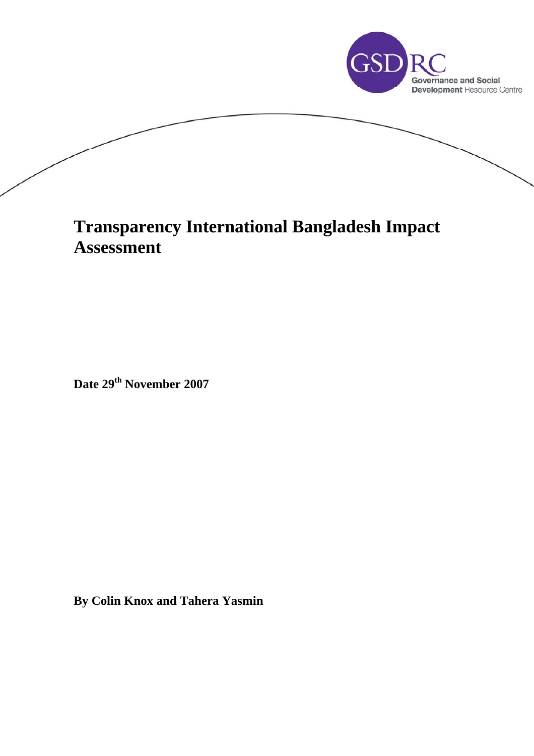

# **Transparency International Bangladesh Impact Assessment**

**Date 29th November 2007** 

**By Colin Knox and Tahera Yasmin**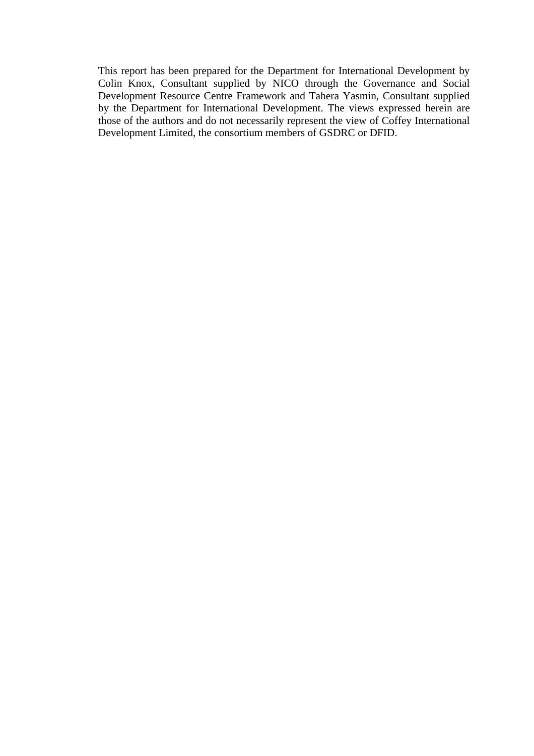This report has been prepared for the Department for International Development by Colin Knox, Consultant supplied by NICO through the Governance and Social Development Resource Centre Framework and Tahera Yasmin, Consultant supplied by the Department for International Development. The views expressed herein are those of the authors and do not necessarily represent the view of Coffey International Development Limited, the consortium members of GSDRC or DFID.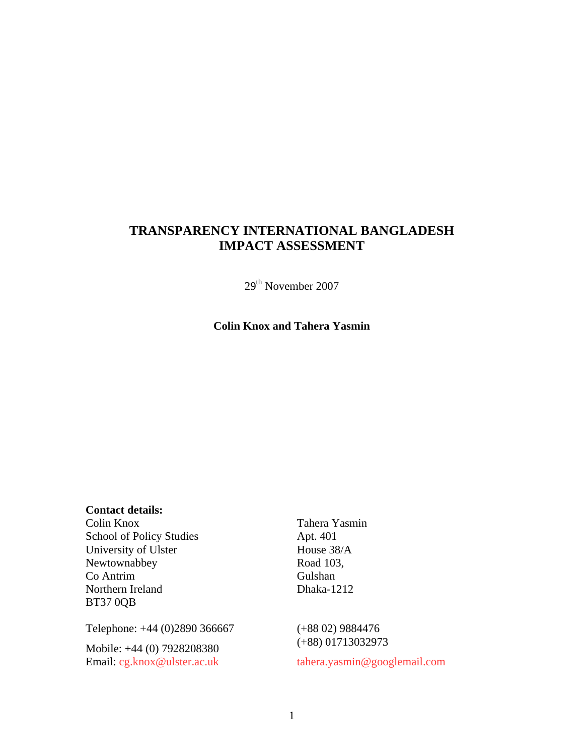### **TRANSPARENCY INTERNATIONAL BANGLADESH IMPACT ASSESSMENT**

29th November 2007

**Colin Knox and Tahera Yasmin** 

#### **Contact details:**

Colin Knox School of Policy Studies University of Ulster Newtownabbey Co Antrim Northern Ireland BT37 0QB

Telephone: +44 (0)2890 366667

Mobile: +44 (0) 7928208380<br>Email: cg.knox@ulster.ac.uk

Tahera Yasmin Apt. 401 House 38/A Road 103, Gulshan Dhaka-1212

(+88 02) 9884476 (+88) 01713032973

tahera.yasmin@googlemail.com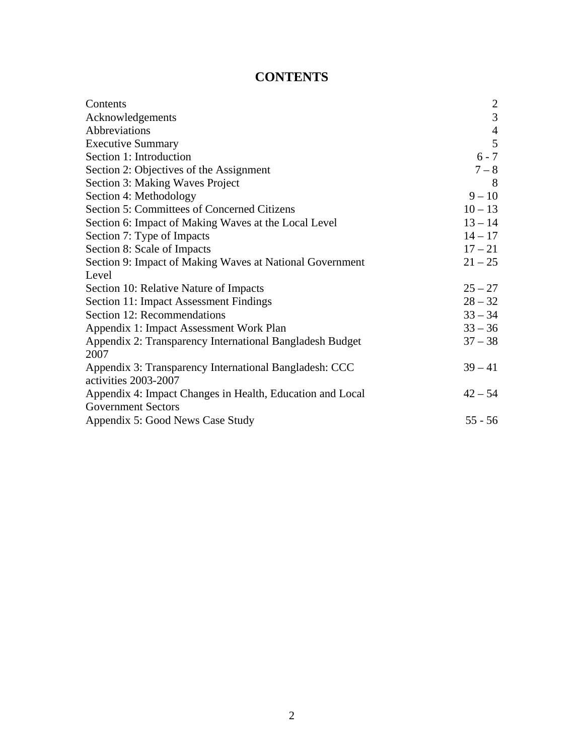### **CONTENTS**

| Contents                                                  |                |
|-----------------------------------------------------------|----------------|
| Acknowledgements                                          | $\frac{2}{3}$  |
| Abbreviations                                             | $\overline{4}$ |
| <b>Executive Summary</b>                                  | 5              |
| Section 1: Introduction                                   | $6 - 7$        |
| Section 2: Objectives of the Assignment                   | $7 - 8$        |
| Section 3: Making Waves Project                           | 8              |
| Section 4: Methodology                                    | $9 - 10$       |
| Section 5: Committees of Concerned Citizens               | $10 - 13$      |
| Section 6: Impact of Making Waves at the Local Level      | $13 - 14$      |
| Section 7: Type of Impacts                                | $14 - 17$      |
| Section 8: Scale of Impacts                               | $17 - 21$      |
| Section 9: Impact of Making Waves at National Government  | $21 - 25$      |
| Level                                                     |                |
| Section 10: Relative Nature of Impacts                    | $25 - 27$      |
| Section 11: Impact Assessment Findings                    | $28 - 32$      |
| Section 12: Recommendations                               | $33 - 34$      |
| Appendix 1: Impact Assessment Work Plan                   | $33 - 36$      |
| Appendix 2: Transparency International Bangladesh Budget  | $37 - 38$      |
| 2007                                                      |                |
| Appendix 3: Transparency International Bangladesh: CCC    | $39 - 41$      |
| activities 2003-2007                                      |                |
| Appendix 4: Impact Changes in Health, Education and Local | $42 - 54$      |
| <b>Government Sectors</b>                                 |                |
| Appendix 5: Good News Case Study                          | $55 - 56$      |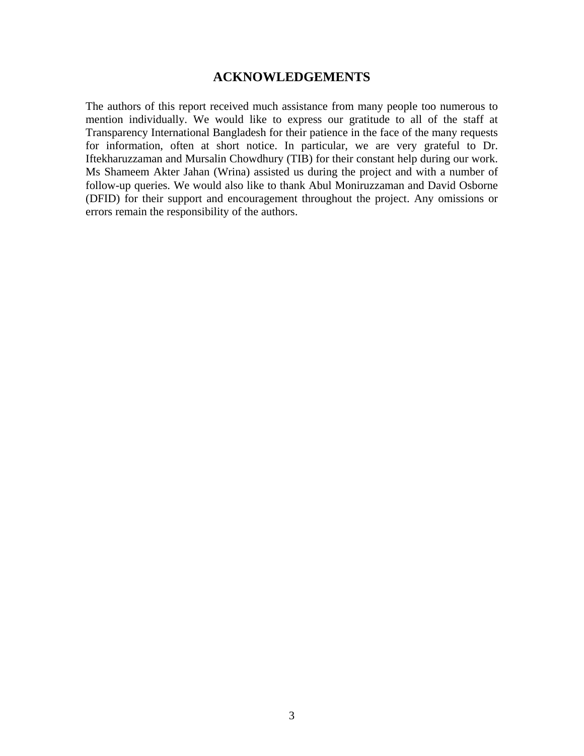#### **ACKNOWLEDGEMENTS**

The authors of this report received much assistance from many people too numerous to mention individually. We would like to express our gratitude to all of the staff at Transparency International Bangladesh for their patience in the face of the many requests for information, often at short notice. In particular, we are very grateful to Dr. Iftekharuzzaman and Mursalin Chowdhury (TIB) for their constant help during our work. Ms Shameem Akter Jahan (Wrina) assisted us during the project and with a number of follow-up queries. We would also like to thank Abul Moniruzzaman and David Osborne (DFID) for their support and encouragement throughout the project. Any omissions or errors remain the responsibility of the authors.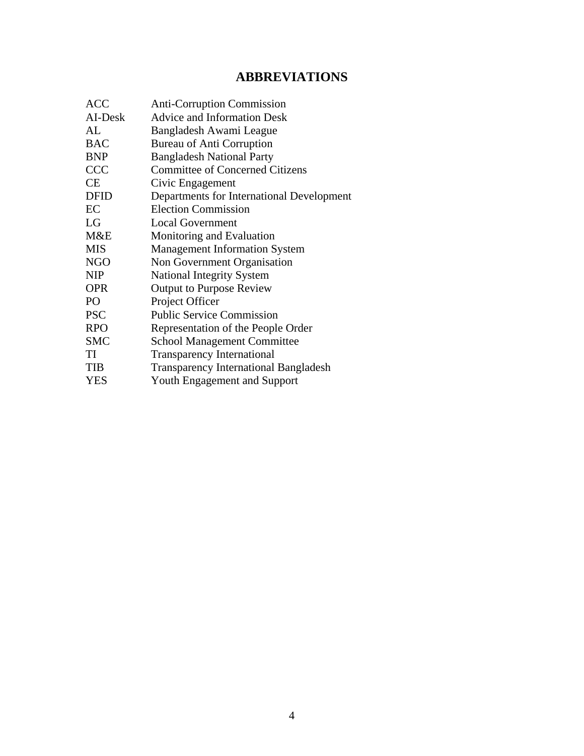### **ABBREVIATIONS**

| <b>ACC</b>  | <b>Anti-Corruption Commission</b>            |
|-------------|----------------------------------------------|
| AI-Desk     | <b>Advice and Information Desk</b>           |
| AL          | Bangladesh Awami League                      |
| <b>BAC</b>  | <b>Bureau of Anti Corruption</b>             |
| <b>BNP</b>  | <b>Bangladesh National Party</b>             |
| <b>CCC</b>  | <b>Committee of Concerned Citizens</b>       |
| <b>CE</b>   | Civic Engagement                             |
| <b>DFID</b> | Departments for International Development    |
| EC          | <b>Election Commission</b>                   |
| LG          | <b>Local Government</b>                      |
| M&E         | Monitoring and Evaluation                    |
| <b>MIS</b>  | <b>Management Information System</b>         |
| <b>NGO</b>  | Non Government Organisation                  |
| <b>NIP</b>  | <b>National Integrity System</b>             |
| <b>OPR</b>  | <b>Output to Purpose Review</b>              |
| PO          | Project Officer                              |
| <b>PSC</b>  | <b>Public Service Commission</b>             |
| <b>RPO</b>  | Representation of the People Order           |
| <b>SMC</b>  | <b>School Management Committee</b>           |
| TI          | <b>Transparency International</b>            |
| <b>TIB</b>  | <b>Transparency International Bangladesh</b> |
| <b>YES</b>  | <b>Youth Engagement and Support</b>          |
|             |                                              |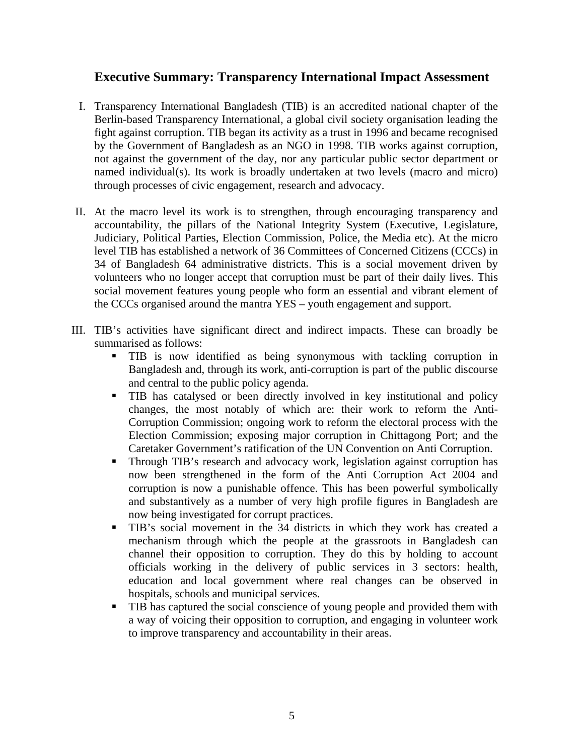### **Executive Summary: Transparency International Impact Assessment**

- I. Transparency International Bangladesh (TIB) is an accredited national chapter of the Berlin-based Transparency International, a global civil society organisation leading the fight against corruption. TIB began its activity as a trust in 1996 and became recognised by the Government of Bangladesh as an NGO in 1998. TIB works against corruption, not against the government of the day, nor any particular public sector department or named individual(s). Its work is broadly undertaken at two levels (macro and micro) through processes of civic engagement, research and advocacy.
- II. At the macro level its work is to strengthen, through encouraging transparency and accountability, the pillars of the National Integrity System (Executive, Legislature, Judiciary, Political Parties, Election Commission, Police, the Media etc). At the micro level TIB has established a network of 36 Committees of Concerned Citizens (CCCs) in 34 of Bangladesh 64 administrative districts. This is a social movement driven by volunteers who no longer accept that corruption must be part of their daily lives. This social movement features young people who form an essential and vibrant element of the CCCs organised around the mantra YES – youth engagement and support.
- III. TIB's activities have significant direct and indirect impacts. These can broadly be summarised as follows:
	- TIB is now identified as being synonymous with tackling corruption in Bangladesh and, through its work, anti-corruption is part of the public discourse and central to the public policy agenda.
	- **TIB** has catalysed or been directly involved in key institutional and policy changes, the most notably of which are: their work to reform the Anti-Corruption Commission; ongoing work to reform the electoral process with the Election Commission; exposing major corruption in Chittagong Port; and the Caretaker Government's ratification of the UN Convention on Anti Corruption.
	- Through TIB's research and advocacy work, legislation against corruption has now been strengthened in the form of the Anti Corruption Act 2004 and corruption is now a punishable offence. This has been powerful symbolically and substantively as a number of very high profile figures in Bangladesh are now being investigated for corrupt practices.
	- TIB's social movement in the 34 districts in which they work has created a mechanism through which the people at the grassroots in Bangladesh can channel their opposition to corruption. They do this by holding to account officials working in the delivery of public services in 3 sectors: health, education and local government where real changes can be observed in hospitals, schools and municipal services.
	- TIB has captured the social conscience of young people and provided them with a way of voicing their opposition to corruption, and engaging in volunteer work to improve transparency and accountability in their areas.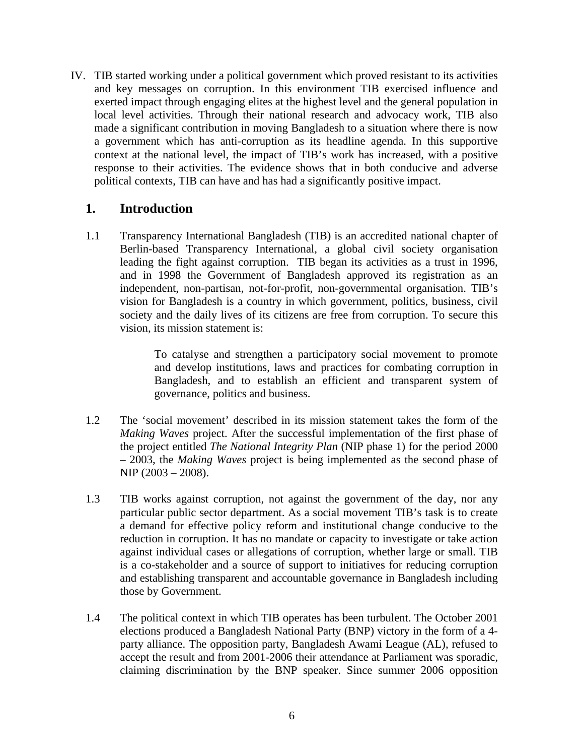IV. TIB started working under a political government which proved resistant to its activities and key messages on corruption. In this environment TIB exercised influence and exerted impact through engaging elites at the highest level and the general population in local level activities. Through their national research and advocacy work, TIB also made a significant contribution in moving Bangladesh to a situation where there is now a government which has anti-corruption as its headline agenda. In this supportive context at the national level, the impact of TIB's work has increased, with a positive response to their activities. The evidence shows that in both conducive and adverse political contexts, TIB can have and has had a significantly positive impact.

#### **1. Introduction**

1.1 Transparency International Bangladesh (TIB) is an accredited national chapter of Berlin-based Transparency International, a global civil society organisation leading the fight against corruption. TIB began its activities as a trust in 1996, and in 1998 the Government of Bangladesh approved its registration as an independent, non-partisan, not-for-profit, non-governmental organisation. TIB's vision for Bangladesh is a country in which government, politics, business, civil society and the daily lives of its citizens are free from corruption. To secure this vision, its mission statement is:

> To catalyse and strengthen a participatory social movement to promote and develop institutions, laws and practices for combating corruption in Bangladesh, and to establish an efficient and transparent system of governance, politics and business.

- 1.2 The 'social movement' described in its mission statement takes the form of the *Making Waves* project. After the successful implementation of the first phase of the project entitled *The National Integrity Plan* (NIP phase 1) for the period 2000 – 2003, the *Making Waves* project is being implemented as the second phase of NIP (2003 – 2008).
- 1.3 TIB works against corruption, not against the government of the day, nor any particular public sector department. As a social movement TIB's task is to create a demand for effective policy reform and institutional change conducive to the reduction in corruption. It has no mandate or capacity to investigate or take action against individual cases or allegations of corruption, whether large or small. TIB is a co-stakeholder and a source of support to initiatives for reducing corruption and establishing transparent and accountable governance in Bangladesh including those by Government.
- 1.4 The political context in which TIB operates has been turbulent. The October 2001 elections produced a Bangladesh National Party (BNP) victory in the form of a 4 party alliance. The opposition party, Bangladesh Awami League (AL), refused to accept the result and from 2001-2006 their attendance at Parliament was sporadic, claiming discrimination by the BNP speaker. Since summer 2006 opposition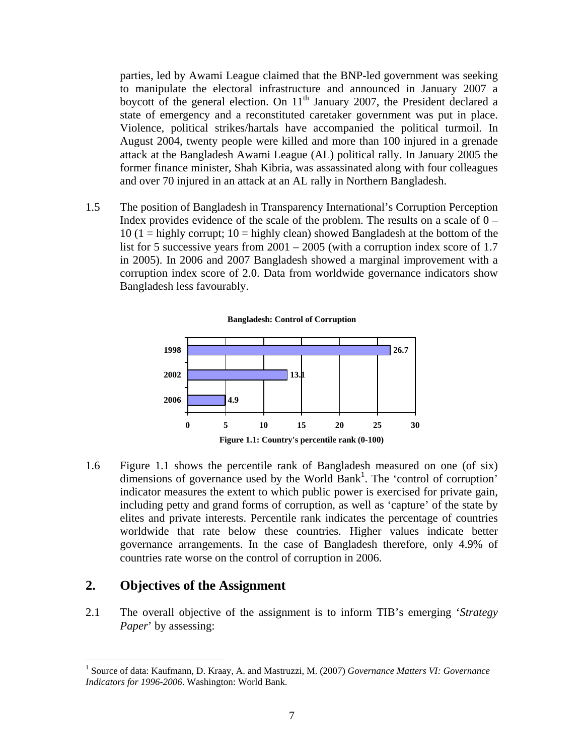parties, led by Awami League claimed that the BNP-led government was seeking to manipulate the electoral infrastructure and announced in January 2007 a boycott of the general election. On  $11<sup>th</sup>$  January 2007, the President declared a state of emergency and a reconstituted caretaker government was put in place. Violence, political strikes/hartals have accompanied the political turmoil. In August 2004, twenty people were killed and more than 100 injured in a grenade attack at the Bangladesh Awami League (AL) political rally. In January 2005 the former finance minister, Shah Kibria, was assassinated along with four colleagues and over 70 injured in an attack at an AL rally in Northern Bangladesh.

1.5 The position of Bangladesh in Transparency International's Corruption Perception Index provides evidence of the scale of the problem. The results on a scale of 0 – 10 (1 = highly corrupt;  $10 =$  highly clean) showed Bangladesh at the bottom of the list for 5 successive years from  $2001 - 2005$  (with a corruption index score of 1.7 in 2005). In 2006 and 2007 Bangladesh showed a marginal improvement with a corruption index score of 2.0. Data from worldwide governance indicators show Bangladesh less favourably.



1.6 Figure 1.1 shows the percentile rank of Bangladesh measured on one (of six) dimensions of governance used by the World  $\text{Bank}^1$ . The 'control of corruption' indicator measures the extent to which public power is exercised for private gain, including petty and grand forms of corruption, as well as 'capture' of the state by elites and private interests. Percentile rank indicates the percentage of countries worldwide that rate below these countries. Higher values indicate better governance arrangements. In the case of Bangladesh therefore, only 4.9% of countries rate worse on the control of corruption in 2006.

#### **2. Objectives of the Assignment**

 $\overline{a}$ 

2.1 The overall objective of the assignment is to inform TIB's emerging '*Strategy Paper*' by assessing:

<sup>1</sup> Source of data: Kaufmann, D. Kraay, A. and Mastruzzi, M. (2007) *Governance Matters VI: Governance Indicators for 1996-2006*. Washington: World Bank.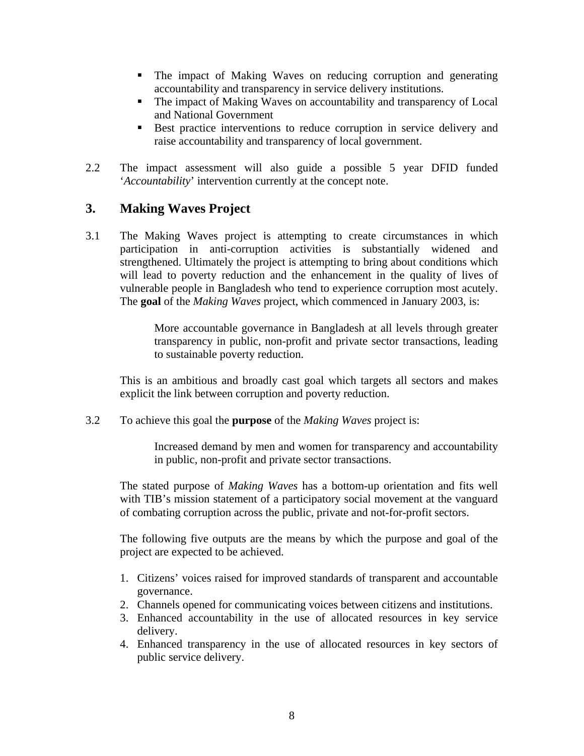- The impact of Making Waves on reducing corruption and generating accountability and transparency in service delivery institutions.
- The impact of Making Waves on accountability and transparency of Local and National Government
- Best practice interventions to reduce corruption in service delivery and raise accountability and transparency of local government.
- 2.2 The impact assessment will also guide a possible 5 year DFID funded '*Accountability*' intervention currently at the concept note.

### **3. Making Waves Project**

3.1 The Making Waves project is attempting to create circumstances in which participation in anti-corruption activities is substantially widened and strengthened. Ultimately the project is attempting to bring about conditions which will lead to poverty reduction and the enhancement in the quality of lives of vulnerable people in Bangladesh who tend to experience corruption most acutely. The **goal** of the *Making Waves* project, which commenced in January 2003, is:

> More accountable governance in Bangladesh at all levels through greater transparency in public, non-profit and private sector transactions, leading to sustainable poverty reduction.

 This is an ambitious and broadly cast goal which targets all sectors and makes explicit the link between corruption and poverty reduction.

3.2 To achieve this goal the **purpose** of the *Making Waves* project is:

 Increased demand by men and women for transparency and accountability in public, non-profit and private sector transactions.

 The stated purpose of *Making Waves* has a bottom-up orientation and fits well with TIB's mission statement of a participatory social movement at the vanguard of combating corruption across the public, private and not-for-profit sectors.

 The following five outputs are the means by which the purpose and goal of the project are expected to be achieved.

- 1. Citizens' voices raised for improved standards of transparent and accountable governance.
- 2. Channels opened for communicating voices between citizens and institutions.
- 3. Enhanced accountability in the use of allocated resources in key service delivery.
- 4. Enhanced transparency in the use of allocated resources in key sectors of public service delivery.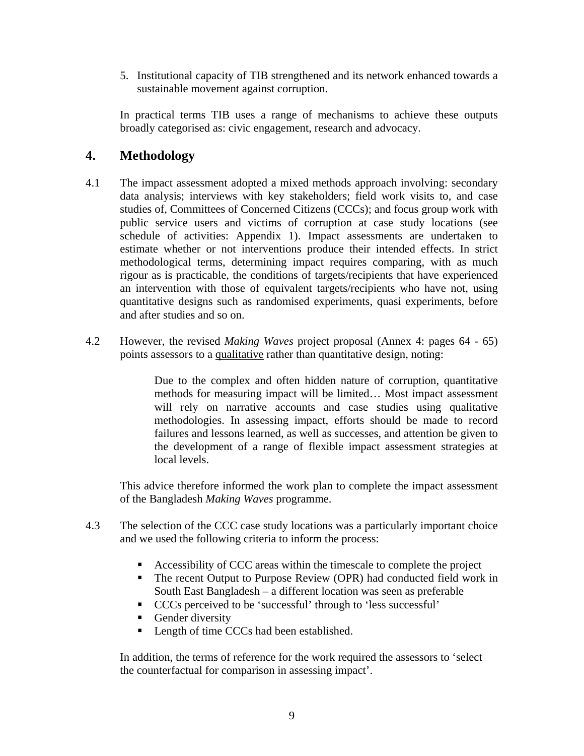5. Institutional capacity of TIB strengthened and its network enhanced towards a sustainable movement against corruption.

 In practical terms TIB uses a range of mechanisms to achieve these outputs broadly categorised as: civic engagement, research and advocacy.

### **4. Methodology**

- 4.1 The impact assessment adopted a mixed methods approach involving: secondary data analysis; interviews with key stakeholders; field work visits to, and case studies of, Committees of Concerned Citizens (CCCs); and focus group work with public service users and victims of corruption at case study locations (see schedule of activities: Appendix 1). Impact assessments are undertaken to estimate whether or not interventions produce their intended effects. In strict methodological terms, determining impact requires comparing, with as much rigour as is practicable, the conditions of targets/recipients that have experienced an intervention with those of equivalent targets/recipients who have not, using quantitative designs such as randomised experiments, quasi experiments, before and after studies and so on.
- 4.2 However, the revised *Making Waves* project proposal (Annex 4: pages 64 65) points assessors to a qualitative rather than quantitative design, noting:

 Due to the complex and often hidden nature of corruption, quantitative methods for measuring impact will be limited… Most impact assessment will rely on narrative accounts and case studies using qualitative methodologies. In assessing impact, efforts should be made to record failures and lessons learned, as well as successes, and attention be given to the development of a range of flexible impact assessment strategies at local levels.

 This advice therefore informed the work plan to complete the impact assessment of the Bangladesh *Making Waves* programme.

- 4.3 The selection of the CCC case study locations was a particularly important choice and we used the following criteria to inform the process:
	- Accessibility of CCC areas within the timescale to complete the project
	- The recent Output to Purpose Review (OPR) had conducted field work in South East Bangladesh – a different location was seen as preferable
	- CCCs perceived to be 'successful' through to 'less successful'
	- Gender diversity
	- Length of time CCCs had been established.

In addition, the terms of reference for the work required the assessors to 'select the counterfactual for comparison in assessing impact'.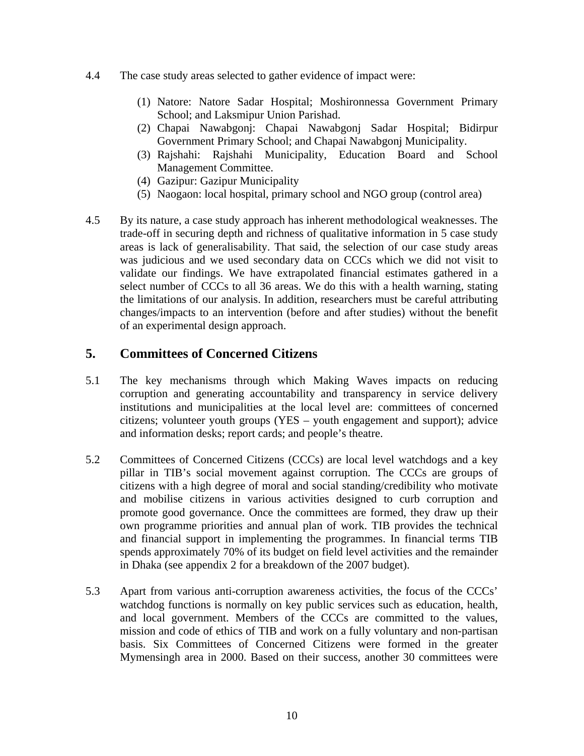- 4.4 The case study areas selected to gather evidence of impact were:
	- (1) Natore: Natore Sadar Hospital; Moshironnessa Government Primary School; and Laksmipur Union Parishad.
	- (2) Chapai Nawabgonj: Chapai Nawabgonj Sadar Hospital; Bidirpur Government Primary School; and Chapai Nawabgonj Municipality.
	- (3) Rajshahi: Rajshahi Municipality, Education Board and School Management Committee.
	- (4) Gazipur: Gazipur Municipality
	- (5) Naogaon: local hospital, primary school and NGO group (control area)
- 4.5 By its nature, a case study approach has inherent methodological weaknesses. The trade-off in securing depth and richness of qualitative information in 5 case study areas is lack of generalisability. That said, the selection of our case study areas was judicious and we used secondary data on CCCs which we did not visit to validate our findings. We have extrapolated financial estimates gathered in a select number of CCCs to all 36 areas. We do this with a health warning, stating the limitations of our analysis. In addition, researchers must be careful attributing changes/impacts to an intervention (before and after studies) without the benefit of an experimental design approach.

### **5. Committees of Concerned Citizens**

- 5.1 The key mechanisms through which Making Waves impacts on reducing corruption and generating accountability and transparency in service delivery institutions and municipalities at the local level are: committees of concerned citizens; volunteer youth groups (YES – youth engagement and support); advice and information desks; report cards; and people's theatre.
- 5.2 Committees of Concerned Citizens (CCCs) are local level watchdogs and a key pillar in TIB's social movement against corruption. The CCCs are groups of citizens with a high degree of moral and social standing/credibility who motivate and mobilise citizens in various activities designed to curb corruption and promote good governance. Once the committees are formed, they draw up their own programme priorities and annual plan of work. TIB provides the technical and financial support in implementing the programmes. In financial terms TIB spends approximately 70% of its budget on field level activities and the remainder in Dhaka (see appendix 2 for a breakdown of the 2007 budget).
- 5.3 Apart from various anti-corruption awareness activities, the focus of the CCCs' watchdog functions is normally on key public services such as education, health, and local government. Members of the CCCs are committed to the values, mission and code of ethics of TIB and work on a fully voluntary and non-partisan basis. Six Committees of Concerned Citizens were formed in the greater Mymensingh area in 2000. Based on their success, another 30 committees were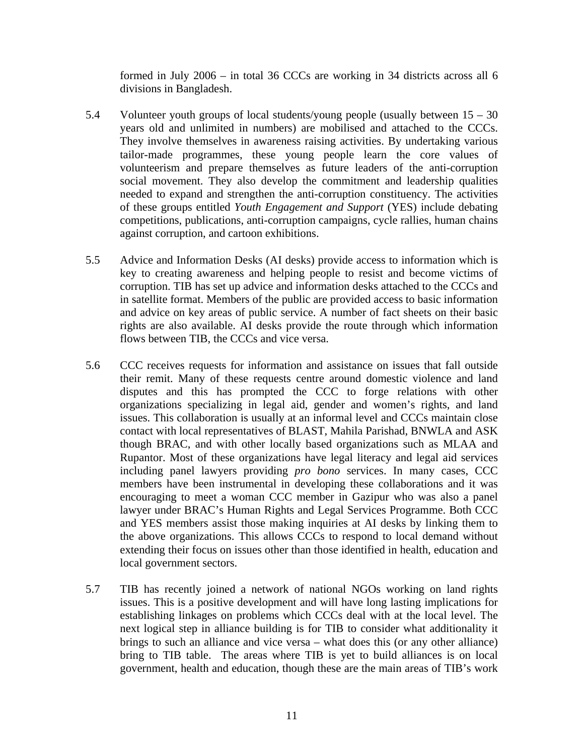formed in July 2006 – in total 36 CCCs are working in 34 districts across all 6 divisions in Bangladesh.

- 5.4 Volunteer youth groups of local students/young people (usually between 15 30 years old and unlimited in numbers) are mobilised and attached to the CCCs. They involve themselves in awareness raising activities. By undertaking various tailor-made programmes, these young people learn the core values of volunteerism and prepare themselves as future leaders of the anti-corruption social movement. They also develop the commitment and leadership qualities needed to expand and strengthen the anti-corruption constituency. The activities of these groups entitled *Youth Engagement and Support* (YES) include debating competitions, publications, anti-corruption campaigns, cycle rallies, human chains against corruption, and cartoon exhibitions.
- 5.5 Advice and Information Desks (AI desks) provide access to information which is key to creating awareness and helping people to resist and become victims of corruption. TIB has set up advice and information desks attached to the CCCs and in satellite format. Members of the public are provided access to basic information and advice on key areas of public service. A number of fact sheets on their basic rights are also available. AI desks provide the route through which information flows between TIB, the CCCs and vice versa.
- 5.6 CCC receives requests for information and assistance on issues that fall outside their remit. Many of these requests centre around domestic violence and land disputes and this has prompted the CCC to forge relations with other organizations specializing in legal aid, gender and women's rights, and land issues. This collaboration is usually at an informal level and CCCs maintain close contact with local representatives of BLAST, Mahila Parishad, BNWLA and ASK though BRAC, and with other locally based organizations such as MLAA and Rupantor. Most of these organizations have legal literacy and legal aid services including panel lawyers providing *pro bono* services. In many cases, CCC members have been instrumental in developing these collaborations and it was encouraging to meet a woman CCC member in Gazipur who was also a panel lawyer under BRAC's Human Rights and Legal Services Programme. Both CCC and YES members assist those making inquiries at AI desks by linking them to the above organizations. This allows CCCs to respond to local demand without extending their focus on issues other than those identified in health, education and local government sectors.
- 5.7 TIB has recently joined a network of national NGOs working on land rights issues. This is a positive development and will have long lasting implications for establishing linkages on problems which CCCs deal with at the local level. The next logical step in alliance building is for TIB to consider what additionality it brings to such an alliance and vice versa – what does this (or any other alliance) bring to TIB table. The areas where TIB is yet to build alliances is on local government, health and education, though these are the main areas of TIB's work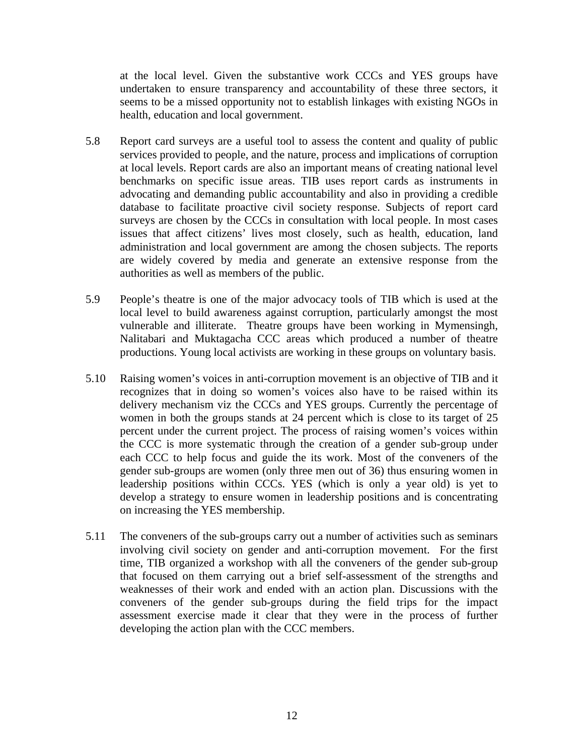at the local level. Given the substantive work CCCs and YES groups have undertaken to ensure transparency and accountability of these three sectors, it seems to be a missed opportunity not to establish linkages with existing NGOs in health, education and local government.

- 5.8 Report card surveys are a useful tool to assess the content and quality of public services provided to people, and the nature, process and implications of corruption at local levels. Report cards are also an important means of creating national level benchmarks on specific issue areas. TIB uses report cards as instruments in advocating and demanding public accountability and also in providing a credible database to facilitate proactive civil society response. Subjects of report card surveys are chosen by the CCCs in consultation with local people. In most cases issues that affect citizens' lives most closely, such as health, education, land administration and local government are among the chosen subjects. The reports are widely covered by media and generate an extensive response from the authorities as well as members of the public.
- 5.9 People's theatre is one of the major advocacy tools of TIB which is used at the local level to build awareness against corruption, particularly amongst the most vulnerable and illiterate. Theatre groups have been working in Mymensingh, Nalitabari and Muktagacha CCC areas which produced a number of theatre productions. Young local activists are working in these groups on voluntary basis.
- 5.10 Raising women's voices in anti-corruption movement is an objective of TIB and it recognizes that in doing so women's voices also have to be raised within its delivery mechanism viz the CCCs and YES groups. Currently the percentage of women in both the groups stands at 24 percent which is close to its target of 25 percent under the current project. The process of raising women's voices within the CCC is more systematic through the creation of a gender sub-group under each CCC to help focus and guide the its work. Most of the conveners of the gender sub-groups are women (only three men out of 36) thus ensuring women in leadership positions within CCCs. YES (which is only a year old) is yet to develop a strategy to ensure women in leadership positions and is concentrating on increasing the YES membership.
- 5.11 The conveners of the sub-groups carry out a number of activities such as seminars involving civil society on gender and anti-corruption movement. For the first time, TIB organized a workshop with all the conveners of the gender sub-group that focused on them carrying out a brief self-assessment of the strengths and weaknesses of their work and ended with an action plan. Discussions with the conveners of the gender sub-groups during the field trips for the impact assessment exercise made it clear that they were in the process of further developing the action plan with the CCC members.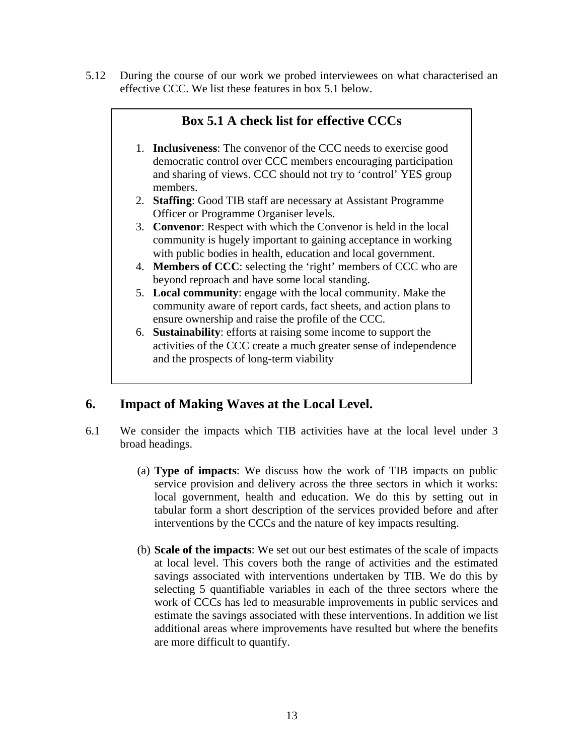5.12 During the course of our work we probed interviewees on what characterised an effective CCC. We list these features in box 5.1 below.

### **Box 5.1 A check list for effective CCCs**

- 1. **Inclusiveness**: The convenor of the CCC needs to exercise good democratic control over CCC members encouraging participation and sharing of views. CCC should not try to 'control' YES group members.
- 2. **Staffing**: Good TIB staff are necessary at Assistant Programme Officer or Programme Organiser levels.
- 3. **Convenor**: Respect with which the Convenor is held in the local community is hugely important to gaining acceptance in working with public bodies in health, education and local government.
- 4. **Members of CCC**: selecting the 'right' members of CCC who are beyond reproach and have some local standing.
- 5. **Local community**: engage with the local community. Make the community aware of report cards, fact sheets, and action plans to ensure ownership and raise the profile of the CCC.
- 6. **Sustainability**: efforts at raising some income to support the activities of the CCC create a much greater sense of independence and the prospects of long-term viability

### **6. Impact of Making Waves at the Local Level.**

- 6.1 We consider the impacts which TIB activities have at the local level under 3 broad headings.
	- (a) **Type of impacts**: We discuss how the work of TIB impacts on public service provision and delivery across the three sectors in which it works: local government, health and education. We do this by setting out in tabular form a short description of the services provided before and after interventions by the CCCs and the nature of key impacts resulting.
	- (b) **Scale of the impacts**: We set out our best estimates of the scale of impacts at local level. This covers both the range of activities and the estimated savings associated with interventions undertaken by TIB. We do this by selecting 5 quantifiable variables in each of the three sectors where the work of CCCs has led to measurable improvements in public services and estimate the savings associated with these interventions. In addition we list additional areas where improvements have resulted but where the benefits are more difficult to quantify.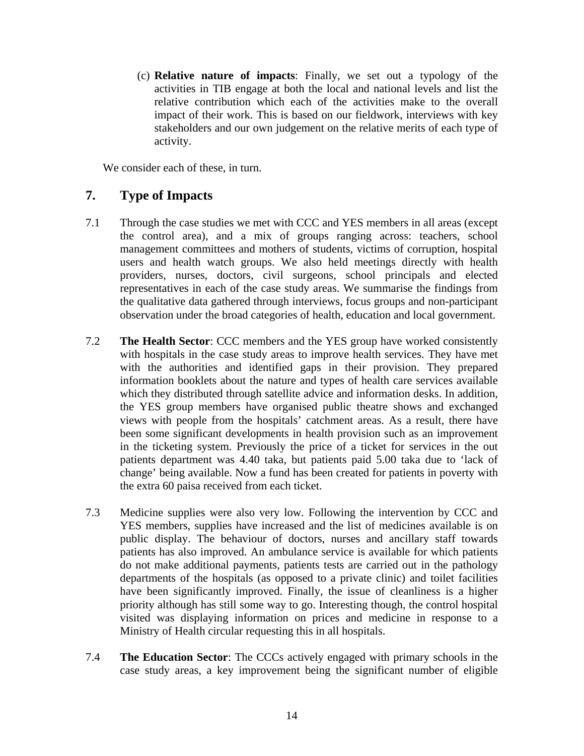(c) **Relative nature of impacts**: Finally, we set out a typology of the activities in TIB engage at both the local and national levels and list the relative contribution which each of the activities make to the overall impact of their work. This is based on our fieldwork, interviews with key stakeholders and our own judgement on the relative merits of each type of activity.

We consider each of these, in turn.

### **7. Type of Impacts**

- 7.1 Through the case studies we met with CCC and YES members in all areas (except the control area), and a mix of groups ranging across: teachers, school management committees and mothers of students, victims of corruption, hospital users and health watch groups. We also held meetings directly with health providers, nurses, doctors, civil surgeons, school principals and elected representatives in each of the case study areas. We summarise the findings from the qualitative data gathered through interviews, focus groups and non-participant observation under the broad categories of health, education and local government.
- 7.2 **The Health Sector**: CCC members and the YES group have worked consistently with hospitals in the case study areas to improve health services. They have met with the authorities and identified gaps in their provision. They prepared information booklets about the nature and types of health care services available which they distributed through satellite advice and information desks. In addition, the YES group members have organised public theatre shows and exchanged views with people from the hospitals' catchment areas. As a result, there have been some significant developments in health provision such as an improvement in the ticketing system. Previously the price of a ticket for services in the out patients department was 4.40 taka, but patients paid 5.00 taka due to 'lack of change' being available. Now a fund has been created for patients in poverty with the extra 60 paisa received from each ticket.
- 7.3 Medicine supplies were also very low. Following the intervention by CCC and YES members, supplies have increased and the list of medicines available is on public display. The behaviour of doctors, nurses and ancillary staff towards patients has also improved. An ambulance service is available for which patients do not make additional payments, patients tests are carried out in the pathology departments of the hospitals (as opposed to a private clinic) and toilet facilities have been significantly improved. Finally, the issue of cleanliness is a higher priority although has still some way to go. Interesting though, the control hospital visited was displaying information on prices and medicine in response to a Ministry of Health circular requesting this in all hospitals.
- 7.4 **The Education Sector**: The CCCs actively engaged with primary schools in the case study areas, a key improvement being the significant number of eligible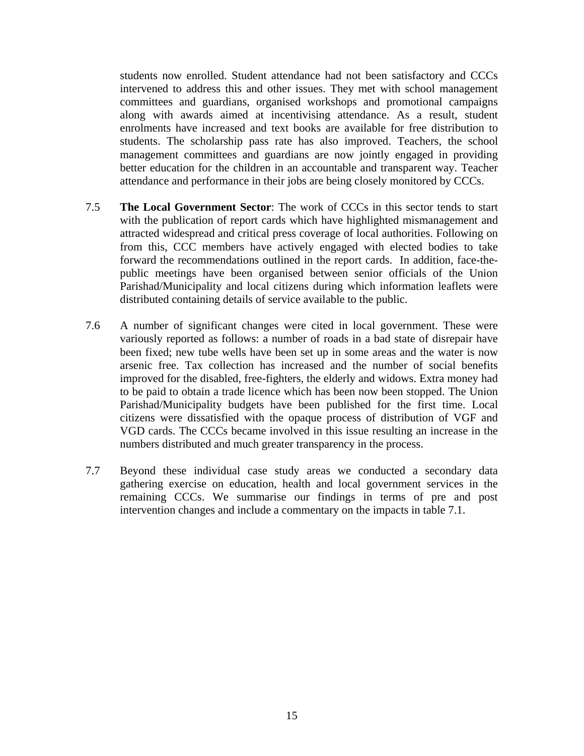students now enrolled. Student attendance had not been satisfactory and CCCs intervened to address this and other issues. They met with school management committees and guardians, organised workshops and promotional campaigns along with awards aimed at incentivising attendance. As a result, student enrolments have increased and text books are available for free distribution to students. The scholarship pass rate has also improved. Teachers, the school management committees and guardians are now jointly engaged in providing better education for the children in an accountable and transparent way. Teacher attendance and performance in their jobs are being closely monitored by CCCs.

- 7.5 **The Local Government Sector**: The work of CCCs in this sector tends to start with the publication of report cards which have highlighted mismanagement and attracted widespread and critical press coverage of local authorities. Following on from this, CCC members have actively engaged with elected bodies to take forward the recommendations outlined in the report cards. In addition, face-thepublic meetings have been organised between senior officials of the Union Parishad/Municipality and local citizens during which information leaflets were distributed containing details of service available to the public.
- 7.6 A number of significant changes were cited in local government. These were variously reported as follows: a number of roads in a bad state of disrepair have been fixed; new tube wells have been set up in some areas and the water is now arsenic free. Tax collection has increased and the number of social benefits improved for the disabled, free-fighters, the elderly and widows. Extra money had to be paid to obtain a trade licence which has been now been stopped. The Union Parishad/Municipality budgets have been published for the first time. Local citizens were dissatisfied with the opaque process of distribution of VGF and VGD cards. The CCCs became involved in this issue resulting an increase in the numbers distributed and much greater transparency in the process.
- 7.7 Beyond these individual case study areas we conducted a secondary data gathering exercise on education, health and local government services in the remaining CCCs. We summarise our findings in terms of pre and post intervention changes and include a commentary on the impacts in table 7.1.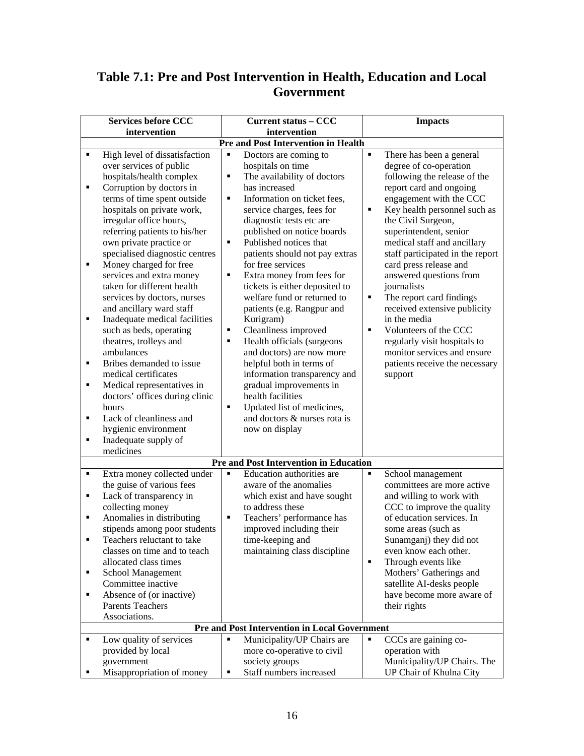## **Table 7.1: Pre and Post Intervention in Health, Education and Local Government**

|                | <b>Services before CCC</b><br><b>Current status - CCC</b> |                | <b>Impacts</b>                                |                |                                  |  |  |  |
|----------------|-----------------------------------------------------------|----------------|-----------------------------------------------|----------------|----------------------------------|--|--|--|
|                | intervention                                              |                | intervention                                  |                |                                  |  |  |  |
|                |                                                           |                | <b>Pre and Post Intervention in Health</b>    |                |                                  |  |  |  |
|                | High level of dissatisfaction                             |                | Doctors are coming to                         | ٠              | There has been a general         |  |  |  |
|                | over services of public                                   |                | hospitals on time                             |                | degree of co-operation           |  |  |  |
|                | hospitals/health complex                                  | $\blacksquare$ | The availability of doctors                   |                | following the release of the     |  |  |  |
| ٠              | Corruption by doctors in                                  |                | has increased                                 |                | report card and ongoing          |  |  |  |
|                | terms of time spent outside                               | $\blacksquare$ | Information on ticket fees,                   |                | engagement with the CCC          |  |  |  |
|                | hospitals on private work,                                |                | service charges, fees for                     | ٠              | Key health personnel such as     |  |  |  |
|                | irregular office hours,                                   |                | diagnostic tests etc are                      |                | the Civil Surgeon,               |  |  |  |
|                | referring patients to his/her                             |                | published on notice boards                    |                | superintendent, senior           |  |  |  |
|                | own private practice or                                   | $\blacksquare$ | Published notices that                        |                | medical staff and ancillary      |  |  |  |
|                | specialised diagnostic centres                            |                | patients should not pay extras                |                | staff participated in the report |  |  |  |
| П              | Money charged for free                                    |                | for free services                             |                | card press release and           |  |  |  |
|                | services and extra money                                  | ٠              | Extra money from fees for                     |                | answered questions from          |  |  |  |
|                | taken for different health                                |                | tickets is either deposited to                |                | journalists                      |  |  |  |
|                | services by doctors, nurses                               |                | welfare fund or returned to                   | ٠              | The report card findings         |  |  |  |
|                | and ancillary ward staff                                  |                | patients (e.g. Rangpur and                    |                | received extensive publicity     |  |  |  |
| п              | Inadequate medical facilities                             |                | Kurigram)                                     |                | in the media                     |  |  |  |
|                | such as beds, operating                                   | ٠              | Cleanliness improved                          | $\blacksquare$ | Volunteers of the CCC            |  |  |  |
|                | theatres, trolleys and                                    | ٠              | Health officials (surgeons                    |                | regularly visit hospitals to     |  |  |  |
|                | ambulances                                                |                | and doctors) are now more                     |                | monitor services and ensure      |  |  |  |
| Ξ              | Bribes demanded to issue                                  |                | helpful both in terms of                      |                | patients receive the necessary   |  |  |  |
|                | medical certificates                                      |                | information transparency and                  |                | support                          |  |  |  |
| ٠              | Medical representatives in                                |                | gradual improvements in                       |                |                                  |  |  |  |
|                | doctors' offices during clinic                            |                | health facilities                             |                |                                  |  |  |  |
|                | hours                                                     | $\blacksquare$ | Updated list of medicines,                    |                |                                  |  |  |  |
| п              | Lack of cleanliness and                                   |                | and doctors & nurses rota is                  |                |                                  |  |  |  |
|                | hygienic environment                                      |                | now on display                                |                |                                  |  |  |  |
| ٠              | Inadequate supply of                                      |                |                                               |                |                                  |  |  |  |
|                | medicines                                                 |                |                                               |                |                                  |  |  |  |
|                |                                                           |                | <b>Pre and Post Intervention in Education</b> |                |                                  |  |  |  |
| ٠              | Extra money collected under                               | $\blacksquare$ | Education authorities are                     | Ξ              | School management                |  |  |  |
|                | the guise of various fees                                 |                | aware of the anomalies                        |                | committees are more active       |  |  |  |
| ٠              | Lack of transparency in                                   |                | which exist and have sought                   |                | and willing to work with         |  |  |  |
|                | collecting money                                          |                | to address these                              |                | CCC to improve the quality       |  |  |  |
| П              | Anomalies in distributing                                 | ٠              | Teachers' performance has                     |                | of education services. In        |  |  |  |
|                | stipends among poor students                              |                | improved including their                      |                | some areas (such as              |  |  |  |
| п              | Teachers reluctant to take                                |                | time-keeping and                              |                | Sunamganj) they did not          |  |  |  |
|                | classes on time and to teach                              |                | maintaining class discipline                  |                | even know each other.            |  |  |  |
|                | allocated class times                                     |                |                                               | ٠              | Through events like              |  |  |  |
| п              | School Management                                         |                |                                               |                | Mothers' Gatherings and          |  |  |  |
|                | Committee inactive                                        |                |                                               |                | satellite AI-desks people        |  |  |  |
| ٠              | Absence of (or inactive)                                  |                |                                               |                | have become more aware of        |  |  |  |
|                | <b>Parents Teachers</b>                                   |                |                                               |                | their rights                     |  |  |  |
|                | Associations.                                             |                |                                               |                |                                  |  |  |  |
|                |                                                           |                | Pre and Post Intervention in Local Government |                |                                  |  |  |  |
| $\blacksquare$ | Low quality of services                                   | $\blacksquare$ | Municipality/UP Chairs are                    | $\blacksquare$ | CCCs are gaining co-             |  |  |  |
|                | provided by local                                         |                | more co-operative to civil                    |                | operation with                   |  |  |  |
|                | government                                                |                | society groups                                |                | Municipality/UP Chairs. The      |  |  |  |
|                | Misappropriation of money                                 | ٠              | Staff numbers increased                       |                | UP Chair of Khulna City          |  |  |  |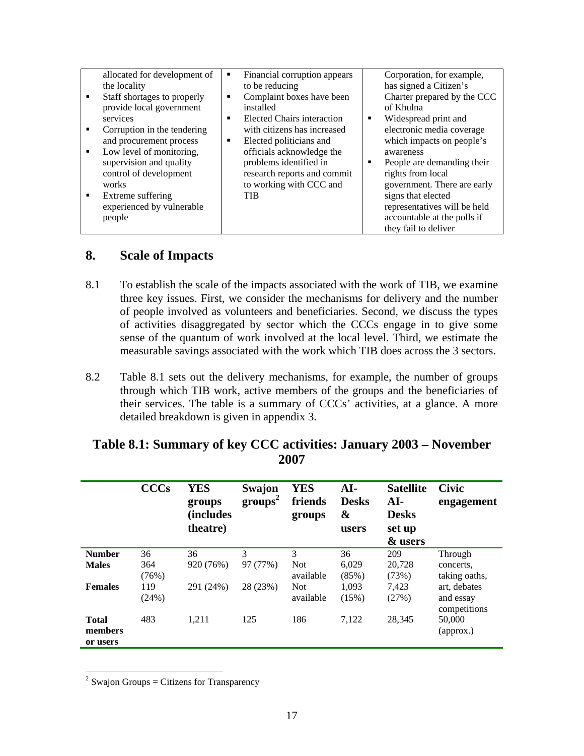| allocated for development of<br>the locality            | ٠ | Financial corruption appears<br>to be reducing                   |   | Corporation, for example,<br>has signed a Citizen's |
|---------------------------------------------------------|---|------------------------------------------------------------------|---|-----------------------------------------------------|
| Staff shortages to properly<br>provide local government | ٠ | Complaint boxes have been<br>installed                           |   | Charter prepared by the CCC<br>of Khulna            |
| services<br>Corruption in the tendering                 |   | <b>Elected Chairs interaction</b><br>with citizens has increased | ٠ | Widespread print and<br>electronic media coverage   |
| and procurement process                                 | ٠ | Elected politicians and                                          |   | which impacts on people's                           |
| Low level of monitoring,<br>supervision and quality     |   | officials acknowledge the<br>problems identified in              |   | awareness<br>People are demanding their             |
| control of development                                  |   | research reports and commit                                      |   | rights from local                                   |
| works                                                   |   | to working with CCC and                                          |   | government. There are early                         |
| Extreme suffering<br>experienced by vulnerable          |   | <b>TIB</b>                                                       |   | signs that elected<br>representatives will be held  |
| people                                                  |   |                                                                  |   | accountable at the polls if                         |
|                                                         |   |                                                                  |   | they fail to deliver                                |

#### **8. Scale of Impacts**

- 8.1 To establish the scale of the impacts associated with the work of TIB, we examine three key issues. First, we consider the mechanisms for delivery and the number of people involved as volunteers and beneficiaries. Second, we discuss the types of activities disaggregated by sector which the CCCs engage in to give some sense of the quantum of work involved at the local level. Third, we estimate the measurable savings associated with the work which TIB does across the 3 sectors.
- 8.2 Table 8.1 sets out the delivery mechanisms, for example, the number of groups through which TIB work, active members of the groups and the beneficiaries of their services. The table is a summary of CCCs' activities, at a glance. A more detailed breakdown is given in appendix 3.

|                                     | <b>CCCs</b> | YES<br>groups<br><i>(includes)</i><br>theatre) | <b>Swajon</b><br>$\text{groups}^2$ | YES<br>friends<br>groups | AI-<br><b>Desks</b><br>&<br>users | <b>Satellite</b><br>$AI-$<br><b>Desks</b><br>set up<br>& users | <b>Civic</b><br>engagement |
|-------------------------------------|-------------|------------------------------------------------|------------------------------------|--------------------------|-----------------------------------|----------------------------------------------------------------|----------------------------|
| <b>Number</b>                       | 36          | 36                                             | 3                                  | 3                        | 36                                | 209                                                            | Through                    |
| <b>Males</b>                        | 364         | 920 (76%)                                      | 97 (77%)                           | <b>Not</b>               | 6,029                             | 20,728                                                         | concerts.                  |
|                                     | (76%)       |                                                |                                    | available                | (85%)                             | (73%)                                                          | taking oaths,              |
| <b>Females</b>                      | 119         | 291 (24%)                                      | 28 (23%)                           | <b>Not</b>               | 1,093                             | 7,423                                                          | art, debates               |
|                                     | (24%)       |                                                |                                    | available                | (15%)                             | (27%)                                                          | and essay<br>competitions  |
| <b>Total</b><br>members<br>or users | 483         | 1,211                                          | 125                                | 186                      | 7,122                             | 28,345                                                         | 50,000<br>(approx.)        |

#### **Table 8.1: Summary of key CCC activities: January 2003 – November 2007**

<sup>2</sup> Swajon Groups = Citizens for Transparency

 $\overline{a}$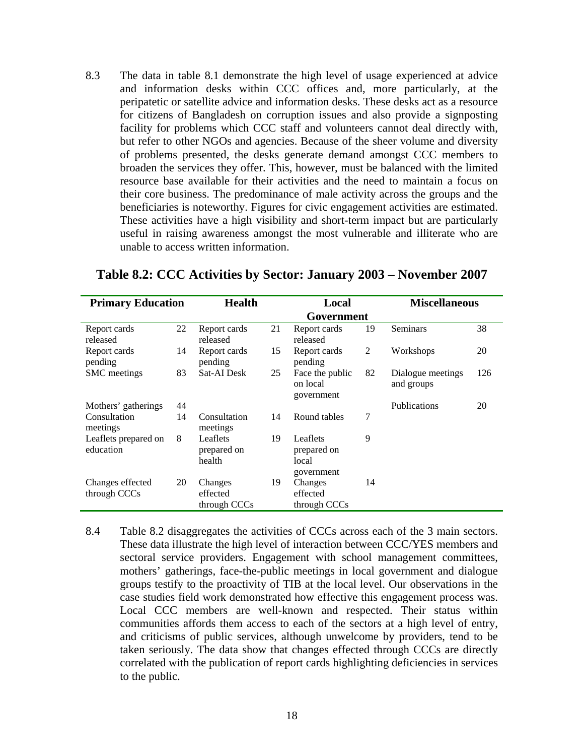8.3 The data in table 8.1 demonstrate the high level of usage experienced at advice and information desks within CCC offices and, more particularly, at the peripatetic or satellite advice and information desks. These desks act as a resource for citizens of Bangladesh on corruption issues and also provide a signposting facility for problems which CCC staff and volunteers cannot deal directly with, but refer to other NGOs and agencies. Because of the sheer volume and diversity of problems presented, the desks generate demand amongst CCC members to broaden the services they offer. This, however, must be balanced with the limited resource base available for their activities and the need to maintain a focus on their core business. The predominance of male activity across the groups and the beneficiaries is noteworthy. Figures for civic engagement activities are estimated. These activities have a high visibility and short-term impact but are particularly useful in raising awareness amongst the most vulnerable and illiterate who are unable to access written information.

| <b>Primary Education</b>          |    | <b>Health</b>                       |    | Local                                          |    | <b>Miscellaneous</b>            |     |
|-----------------------------------|----|-------------------------------------|----|------------------------------------------------|----|---------------------------------|-----|
|                                   |    |                                     |    | Government                                     |    |                                 |     |
| Report cards<br>released          | 22 | Report cards<br>released            | 21 | Report cards<br>released                       | 19 | <b>Seminars</b>                 | 38  |
| Report cards<br>pending           | 14 | Report cards<br>pending             | 15 | Report cards<br>pending                        | 2  | Workshops                       | 20  |
| SMC meetings                      | 83 | <b>Sat-AI</b> Desk                  | 25 | Face the public<br>on local<br>government      | 82 | Dialogue meetings<br>and groups | 126 |
| Mothers' gatherings               | 44 |                                     |    |                                                |    | Publications                    | 20  |
| Consultation<br>meetings          | 14 | Consultation<br>meetings            | 14 | Round tables                                   | 7  |                                 |     |
| Leaflets prepared on<br>education | 8  | Leaflets<br>prepared on<br>health   | 19 | Leaflets<br>prepared on<br>local<br>government | 9  |                                 |     |
| Changes effected<br>through CCCs  | 20 | Changes<br>effected<br>through CCCs | 19 | Changes<br>effected<br>through CCCs            | 14 |                                 |     |

#### **Table 8.2: CCC Activities by Sector: January 2003 – November 2007**

8.4 Table 8.2 disaggregates the activities of CCCs across each of the 3 main sectors. These data illustrate the high level of interaction between CCC/YES members and sectoral service providers. Engagement with school management committees, mothers' gatherings, face-the-public meetings in local government and dialogue groups testify to the proactivity of TIB at the local level. Our observations in the case studies field work demonstrated how effective this engagement process was. Local CCC members are well-known and respected. Their status within communities affords them access to each of the sectors at a high level of entry, and criticisms of public services, although unwelcome by providers, tend to be taken seriously. The data show that changes effected through CCCs are directly correlated with the publication of report cards highlighting deficiencies in services to the public.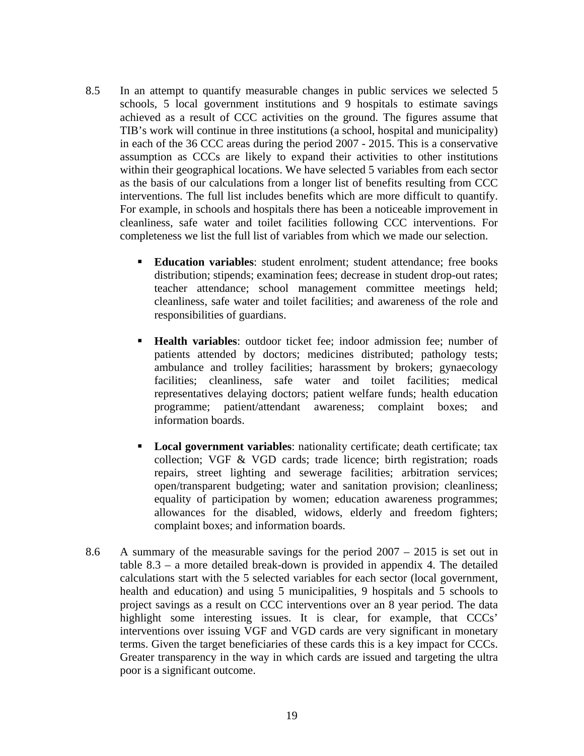- 8.5 In an attempt to quantify measurable changes in public services we selected 5 schools, 5 local government institutions and 9 hospitals to estimate savings achieved as a result of CCC activities on the ground. The figures assume that TIB's work will continue in three institutions (a school, hospital and municipality) in each of the 36 CCC areas during the period 2007 - 2015. This is a conservative assumption as CCCs are likely to expand their activities to other institutions within their geographical locations. We have selected 5 variables from each sector as the basis of our calculations from a longer list of benefits resulting from CCC interventions. The full list includes benefits which are more difficult to quantify. For example, in schools and hospitals there has been a noticeable improvement in cleanliness, safe water and toilet facilities following CCC interventions. For completeness we list the full list of variables from which we made our selection.
	- **Education variables**: student enrolment; student attendance; free books distribution; stipends; examination fees; decrease in student drop-out rates; teacher attendance; school management committee meetings held; cleanliness, safe water and toilet facilities; and awareness of the role and responsibilities of guardians.
	- **Health variables**: outdoor ticket fee; indoor admission fee; number of patients attended by doctors; medicines distributed; pathology tests; ambulance and trolley facilities; harassment by brokers; gynaecology facilities; cleanliness, safe water and toilet facilities; medical representatives delaying doctors; patient welfare funds; health education programme; patient/attendant awareness; complaint boxes; and information boards.
	- Local government variables: nationality certificate; death certificate; tax collection; VGF & VGD cards; trade licence; birth registration; roads repairs, street lighting and sewerage facilities; arbitration services; open/transparent budgeting; water and sanitation provision; cleanliness; equality of participation by women; education awareness programmes; allowances for the disabled, widows, elderly and freedom fighters; complaint boxes; and information boards.
- 8.6 A summary of the measurable savings for the period 2007 2015 is set out in table 8.3 – a more detailed break-down is provided in appendix 4. The detailed calculations start with the 5 selected variables for each sector (local government, health and education) and using 5 municipalities, 9 hospitals and 5 schools to project savings as a result on CCC interventions over an 8 year period. The data highlight some interesting issues. It is clear, for example, that CCCs' interventions over issuing VGF and VGD cards are very significant in monetary terms. Given the target beneficiaries of these cards this is a key impact for CCCs. Greater transparency in the way in which cards are issued and targeting the ultra poor is a significant outcome.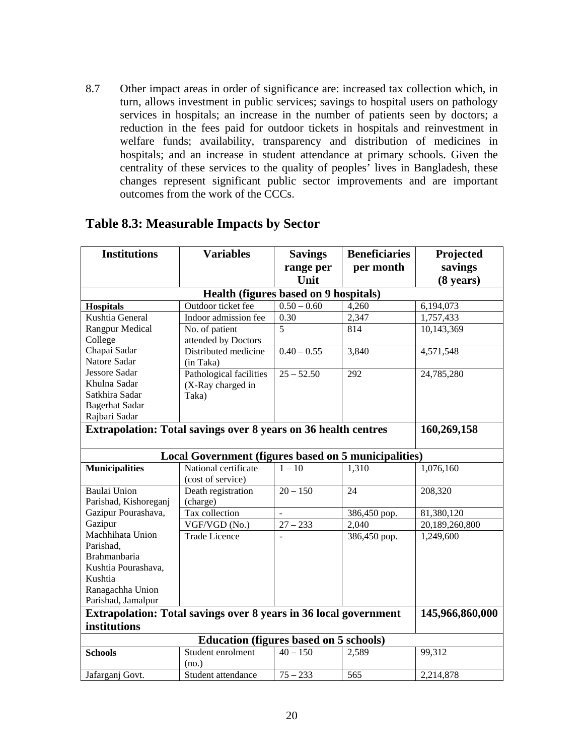8.7 Other impact areas in order of significance are: increased tax collection which, in turn, allows investment in public services; savings to hospital users on pathology services in hospitals; an increase in the number of patients seen by doctors; a reduction in the fees paid for outdoor tickets in hospitals and reinvestment in welfare funds; availability, transparency and distribution of medicines in hospitals; and an increase in student attendance at primary schools. Given the centrality of these services to the quality of peoples' lives in Bangladesh, these changes represent significant public sector improvements and are important outcomes from the work of the CCCs.

| <b>Institutions</b>   | <b>Variables</b>                                                        | <b>Savings</b>          | <b>Beneficiaries</b> | Projected           |  |  |  |  |  |  |  |  |  |
|-----------------------|-------------------------------------------------------------------------|-------------------------|----------------------|---------------------|--|--|--|--|--|--|--|--|--|
|                       |                                                                         | range per               | per month            | savings             |  |  |  |  |  |  |  |  |  |
|                       |                                                                         | Unit                    |                      | $(8 \text{ years})$ |  |  |  |  |  |  |  |  |  |
|                       | Health (figures based on 9 hospitals)                                   |                         |                      |                     |  |  |  |  |  |  |  |  |  |
| <b>Hospitals</b>      | Outdoor ticket fee                                                      | $0.50 - 0.60$           | 4,260                | 6,194,073           |  |  |  |  |  |  |  |  |  |
| Kushtia General       | Indoor admission fee                                                    | 0.30                    | 2,347                | 1,757,433           |  |  |  |  |  |  |  |  |  |
| Rangpur Medical       | No. of patient                                                          | 5                       | 814                  | 10,143,369          |  |  |  |  |  |  |  |  |  |
| College               | attended by Doctors                                                     |                         |                      |                     |  |  |  |  |  |  |  |  |  |
| Chapai Sadar          | Distributed medicine                                                    | $0.40 - 0.55$           | 3,840                | 4,571,548           |  |  |  |  |  |  |  |  |  |
| Natore Sadar          | (in Taka)                                                               |                         |                      |                     |  |  |  |  |  |  |  |  |  |
| Jessore Sadar         | Pathological facilities                                                 | $\overline{25 - 52.50}$ | 292                  | 24,785,280          |  |  |  |  |  |  |  |  |  |
| Khulna Sadar          | (X-Ray charged in                                                       |                         |                      |                     |  |  |  |  |  |  |  |  |  |
| Satkhira Sadar        | Taka)                                                                   |                         |                      |                     |  |  |  |  |  |  |  |  |  |
| <b>Bagerhat Sadar</b> |                                                                         |                         |                      |                     |  |  |  |  |  |  |  |  |  |
| Rajbari Sadar         |                                                                         |                         |                      |                     |  |  |  |  |  |  |  |  |  |
|                       | Extrapolation: Total savings over 8 years on 36 health centres          |                         |                      | 160,269,158         |  |  |  |  |  |  |  |  |  |
|                       |                                                                         |                         |                      |                     |  |  |  |  |  |  |  |  |  |
|                       | Local Government (figures based on 5 municipalities)                    |                         |                      |                     |  |  |  |  |  |  |  |  |  |
| <b>Municipalities</b> | National certificate                                                    | $1 - 10$                | 1,310                | 1,076,160           |  |  |  |  |  |  |  |  |  |
|                       | (cost of service)                                                       |                         |                      |                     |  |  |  |  |  |  |  |  |  |
| Baulai Union          | Death registration                                                      | $20 - 150$              | 24                   | 208,320             |  |  |  |  |  |  |  |  |  |
| Parishad, Kishoreganj | (charge)                                                                |                         |                      |                     |  |  |  |  |  |  |  |  |  |
| Gazipur Pourashava,   | Tax collection                                                          | $\frac{1}{2}$           | 386,450 pop.         | 81,380,120          |  |  |  |  |  |  |  |  |  |
| Gazipur               | VGF/VGD (No.)                                                           | $27 - 233$              | 2,040                | 20,189,260,800      |  |  |  |  |  |  |  |  |  |
| Machhihata Union      | <b>Trade Licence</b>                                                    |                         | 386,450 pop.         | 1,249,600           |  |  |  |  |  |  |  |  |  |
| Parishad,             |                                                                         |                         |                      |                     |  |  |  |  |  |  |  |  |  |
| Brahmanbaria          |                                                                         |                         |                      |                     |  |  |  |  |  |  |  |  |  |
| Kushtia Pourashava,   |                                                                         |                         |                      |                     |  |  |  |  |  |  |  |  |  |
| Kushtia               |                                                                         |                         |                      |                     |  |  |  |  |  |  |  |  |  |
| Ranagachha Union      |                                                                         |                         |                      |                     |  |  |  |  |  |  |  |  |  |
| Parishad, Jamalpur    |                                                                         |                         |                      |                     |  |  |  |  |  |  |  |  |  |
|                       | <b>Extrapolation: Total savings over 8 years in 36 local government</b> |                         |                      | 145,966,860,000     |  |  |  |  |  |  |  |  |  |
| institutions          |                                                                         |                         |                      |                     |  |  |  |  |  |  |  |  |  |
|                       | <b>Education (figures based on 5 schools)</b>                           |                         |                      |                     |  |  |  |  |  |  |  |  |  |
| <b>Schools</b>        | Student enrolment                                                       | $\frac{40-150}{ }$      | 2,589                | 99,312              |  |  |  |  |  |  |  |  |  |
|                       | (no.)                                                                   |                         |                      |                     |  |  |  |  |  |  |  |  |  |
| Jafarganj Govt.       | Student attendance                                                      | $75 - 233$              | 565                  | 2,214,878           |  |  |  |  |  |  |  |  |  |

### **Table 8.3: Measurable Impacts by Sector**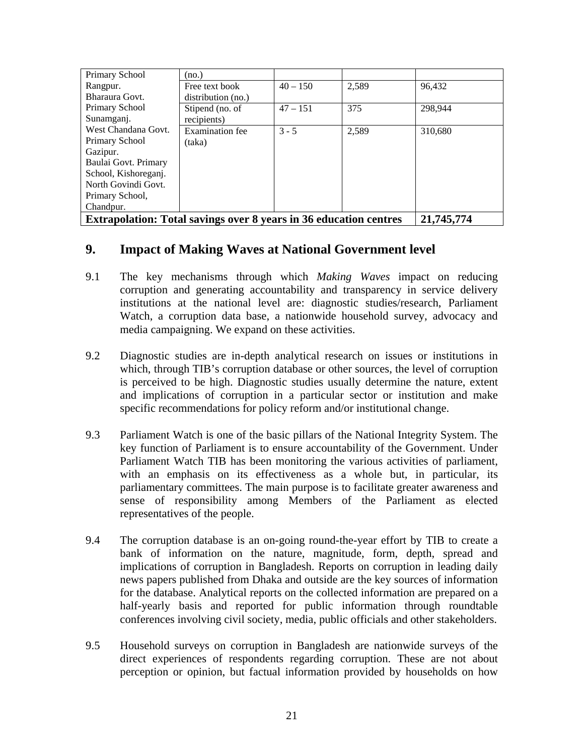| Primary School                                                           | (no.)              |            |       |         |
|--------------------------------------------------------------------------|--------------------|------------|-------|---------|
| Rangpur.                                                                 | Free text book     | $40 - 150$ | 2,589 | 96,432  |
| Bharaura Govt.                                                           | distribution (no.) |            |       |         |
| Primary School                                                           | Stipend (no. of    | $47 - 151$ | 375   | 298.944 |
| Sunamganj.                                                               | recipients)        |            |       |         |
| West Chandana Govt.                                                      | Examination fee    | $3 - 5$    | 2,589 | 310,680 |
| Primary School                                                           | (taka)             |            |       |         |
| Gazipur.                                                                 |                    |            |       |         |
| Baulai Govt. Primary                                                     |                    |            |       |         |
| School, Kishoreganj.                                                     |                    |            |       |         |
| North Govindi Govt.                                                      |                    |            |       |         |
| Primary School,                                                          |                    |            |       |         |
| Chandpur.                                                                |                    |            |       |         |
| <b>Extrapolation: Total savings over 8 years in 36 education centres</b> |                    | 21,745,774 |       |         |

#### **9. Impact of Making Waves at National Government level**

- 9.1 The key mechanisms through which *Making Waves* impact on reducing corruption and generating accountability and transparency in service delivery institutions at the national level are: diagnostic studies/research, Parliament Watch, a corruption data base, a nationwide household survey, advocacy and media campaigning. We expand on these activities.
- 9.2 Diagnostic studies are in-depth analytical research on issues or institutions in which, through TIB's corruption database or other sources, the level of corruption is perceived to be high. Diagnostic studies usually determine the nature, extent and implications of corruption in a particular sector or institution and make specific recommendations for policy reform and/or institutional change.
- 9.3 Parliament Watch is one of the basic pillars of the National Integrity System. The key function of Parliament is to ensure accountability of the Government. Under Parliament Watch TIB has been monitoring the various activities of parliament, with an emphasis on its effectiveness as a whole but, in particular, its parliamentary committees. The main purpose is to facilitate greater awareness and sense of responsibility among Members of the Parliament as elected representatives of the people.
- 9.4 The corruption database is an on-going round-the-year effort by TIB to create a bank of information on the nature, magnitude, form, depth, spread and implications of corruption in Bangladesh. Reports on corruption in leading daily news papers published from Dhaka and outside are the key sources of information for the database. Analytical reports on the collected information are prepared on a half-yearly basis and reported for public information through roundtable conferences involving civil society, media, public officials and other stakeholders.
- 9.5 Household surveys on corruption in Bangladesh are nationwide surveys of the direct experiences of respondents regarding corruption. These are not about perception or opinion, but factual information provided by households on how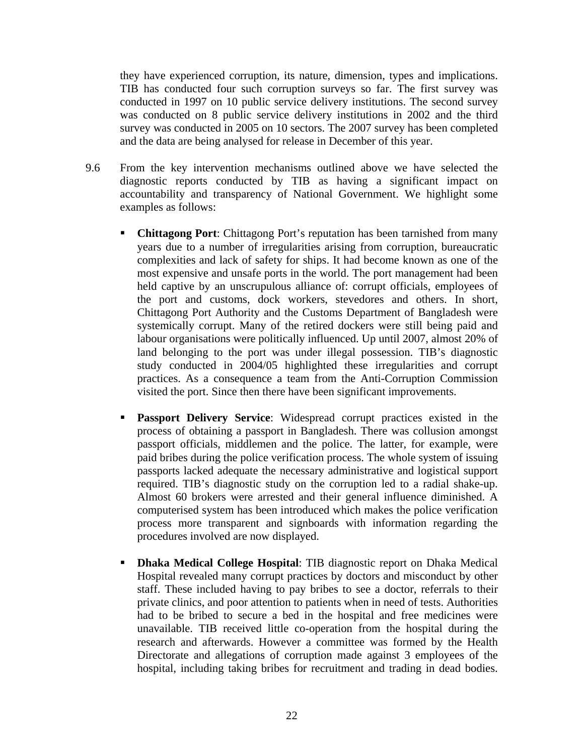they have experienced corruption, its nature, dimension, types and implications. TIB has conducted four such corruption surveys so far. The first survey was conducted in 1997 on 10 public service delivery institutions. The second survey was conducted on 8 public service delivery institutions in 2002 and the third survey was conducted in 2005 on 10 sectors. The 2007 survey has been completed and the data are being analysed for release in December of this year.

- 9.6 From the key intervention mechanisms outlined above we have selected the diagnostic reports conducted by TIB as having a significant impact on accountability and transparency of National Government. We highlight some examples as follows:
	- **Chittagong Port:** Chittagong Port's reputation has been tarnished from many years due to a number of irregularities arising from corruption, bureaucratic complexities and lack of safety for ships. It had become known as one of the most expensive and unsafe ports in the world. The port management had been held captive by an unscrupulous alliance of: corrupt officials, employees of the port and customs, dock workers, stevedores and others. In short, Chittagong Port Authority and the Customs Department of Bangladesh were systemically corrupt. Many of the retired dockers were still being paid and labour organisations were politically influenced. Up until 2007, almost 20% of land belonging to the port was under illegal possession. TIB's diagnostic study conducted in 2004/05 highlighted these irregularities and corrupt practices. As a consequence a team from the Anti-Corruption Commission visited the port. Since then there have been significant improvements.
	- **Passport Delivery Service:** Widespread corrupt practices existed in the process of obtaining a passport in Bangladesh. There was collusion amongst passport officials, middlemen and the police. The latter, for example, were paid bribes during the police verification process. The whole system of issuing passports lacked adequate the necessary administrative and logistical support required. TIB's diagnostic study on the corruption led to a radial shake-up. Almost 60 brokers were arrested and their general influence diminished. A computerised system has been introduced which makes the police verification process more transparent and signboards with information regarding the procedures involved are now displayed.
	- **Dhaka Medical College Hospital**: TIB diagnostic report on Dhaka Medical Hospital revealed many corrupt practices by doctors and misconduct by other staff. These included having to pay bribes to see a doctor, referrals to their private clinics, and poor attention to patients when in need of tests. Authorities had to be bribed to secure a bed in the hospital and free medicines were unavailable. TIB received little co-operation from the hospital during the research and afterwards. However a committee was formed by the Health Directorate and allegations of corruption made against 3 employees of the hospital, including taking bribes for recruitment and trading in dead bodies.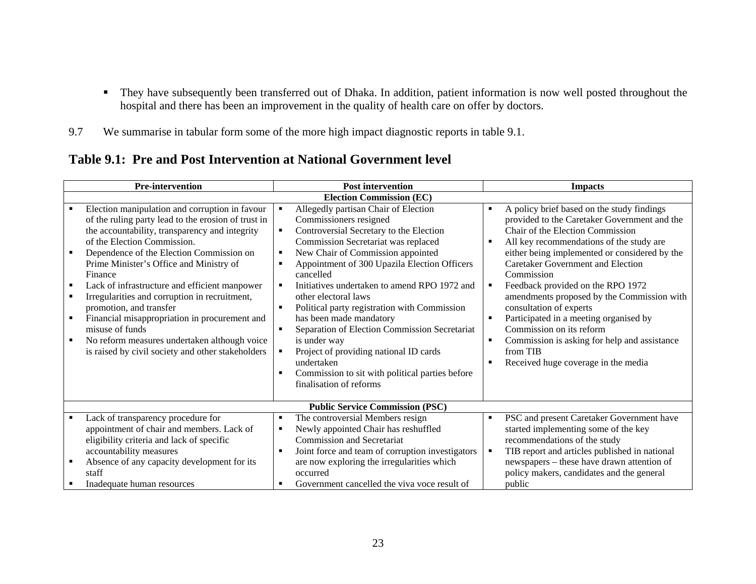- They have subsequently been transferred out of Dhaka. In addition, patient information is now well posted throughout the hospital and there has been an improvement in the quality of health care on offer by doctors.
- 9.7We summarise in tabular form some of the more high impact diagnostic reports in table 9.1.

### **Table 9.1: Pre and Post Intervention at National Government level**

|                | <b>Pre-intervention</b>                                                                                                                                                                                                                                                                                                                                                                                                                                                                                                                                                                        | <b>Post intervention</b>                                |                                                                                                                                                                                                                                                                                                                                                                                                                                                                                                                                                                                                              |                | <b>Impacts</b>                                                                                                                                                                                                                                                                                                                                                                                                                                                                                                                                                               |  |
|----------------|------------------------------------------------------------------------------------------------------------------------------------------------------------------------------------------------------------------------------------------------------------------------------------------------------------------------------------------------------------------------------------------------------------------------------------------------------------------------------------------------------------------------------------------------------------------------------------------------|---------------------------------------------------------|--------------------------------------------------------------------------------------------------------------------------------------------------------------------------------------------------------------------------------------------------------------------------------------------------------------------------------------------------------------------------------------------------------------------------------------------------------------------------------------------------------------------------------------------------------------------------------------------------------------|----------------|------------------------------------------------------------------------------------------------------------------------------------------------------------------------------------------------------------------------------------------------------------------------------------------------------------------------------------------------------------------------------------------------------------------------------------------------------------------------------------------------------------------------------------------------------------------------------|--|
|                |                                                                                                                                                                                                                                                                                                                                                                                                                                                                                                                                                                                                |                                                         | <b>Election Commission (EC)</b>                                                                                                                                                                                                                                                                                                                                                                                                                                                                                                                                                                              |                |                                                                                                                                                                                                                                                                                                                                                                                                                                                                                                                                                                              |  |
| $\blacksquare$ | Election manipulation and corruption in favour<br>of the ruling party lead to the erosion of trust in<br>the accountability, transparency and integrity<br>of the Election Commission.<br>Dependence of the Election Commission on<br>Prime Minister's Office and Ministry of<br>Finance<br>Lack of infrastructure and efficient manpower<br>Irregularities and corruption in recruitment,<br>promotion, and transfer<br>Financial misappropriation in procurement and<br>misuse of funds<br>No reform measures undertaken although voice<br>is raised by civil society and other stakeholders | $\blacksquare$<br>$\blacksquare$<br>$\blacksquare$<br>٠ | Allegedly partisan Chair of Election<br>Commissioners resigned<br>Controversial Secretary to the Election<br>Commission Secretariat was replaced<br>New Chair of Commission appointed<br>Appointment of 300 Upazila Election Officers<br>cancelled<br>Initiatives undertaken to amend RPO 1972 and<br>other electoral laws<br>Political party registration with Commission<br>has been made mandatory<br>Separation of Election Commission Secretariat<br>is under way<br>Project of providing national ID cards<br>undertaken<br>Commission to sit with political parties before<br>finalisation of reforms | $\blacksquare$ | A policy brief based on the study findings<br>provided to the Caretaker Government and the<br>Chair of the Election Commission<br>All key recommendations of the study are<br>either being implemented or considered by the<br><b>Caretaker Government and Election</b><br>Commission<br>Feedback provided on the RPO 1972<br>amendments proposed by the Commission with<br>consultation of experts<br>Participated in a meeting organised by<br>Commission on its reform<br>Commission is asking for help and assistance<br>from TIB<br>Received huge coverage in the media |  |
|                |                                                                                                                                                                                                                                                                                                                                                                                                                                                                                                                                                                                                |                                                         | <b>Public Service Commission (PSC)</b>                                                                                                                                                                                                                                                                                                                                                                                                                                                                                                                                                                       |                |                                                                                                                                                                                                                                                                                                                                                                                                                                                                                                                                                                              |  |
|                | Lack of transparency procedure for<br>appointment of chair and members. Lack of<br>eligibility criteria and lack of specific<br>accountability measures<br>Absence of any capacity development for its<br>staff                                                                                                                                                                                                                                                                                                                                                                                | ٠                                                       | The controversial Members resign<br>Newly appointed Chair has reshuffled<br>Commission and Secretariat<br>Joint force and team of corruption investigators<br>are now exploring the irregularities which<br>occurred                                                                                                                                                                                                                                                                                                                                                                                         | $\blacksquare$ | PSC and present Caretaker Government have<br>started implementing some of the key<br>recommendations of the study<br>TIB report and articles published in national<br>newspapers - these have drawn attention of<br>policy makers, candidates and the general                                                                                                                                                                                                                                                                                                                |  |
|                | Inadequate human resources                                                                                                                                                                                                                                                                                                                                                                                                                                                                                                                                                                     |                                                         | Government cancelled the viva voce result of                                                                                                                                                                                                                                                                                                                                                                                                                                                                                                                                                                 |                | public                                                                                                                                                                                                                                                                                                                                                                                                                                                                                                                                                                       |  |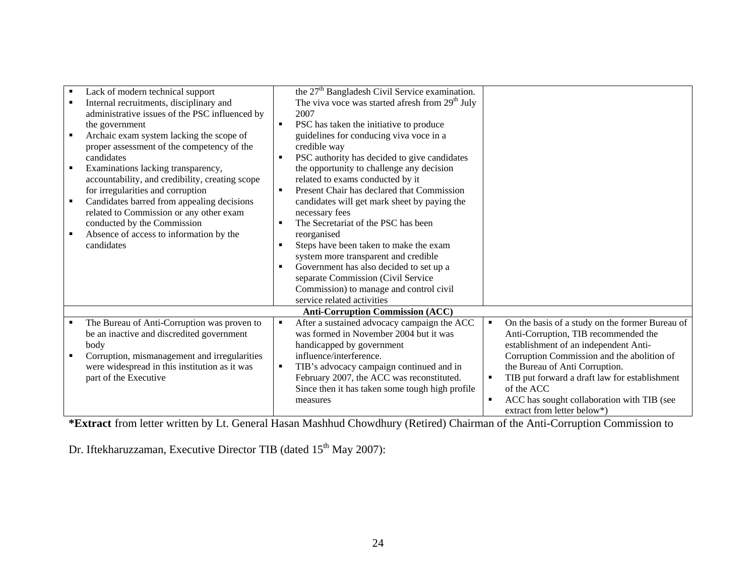| $\blacksquare$ | Lack of modern technical support                |                | the $27th$ Bangladesh Civil Service examination.            |                                                 |
|----------------|-------------------------------------------------|----------------|-------------------------------------------------------------|-------------------------------------------------|
|                | Internal recruitments, disciplinary and         |                | The viva voce was started afresh from 29 <sup>th</sup> July |                                                 |
|                | administrative issues of the PSC influenced by  |                | 2007                                                        |                                                 |
|                | the government                                  |                | PSC has taken the initiative to produce                     |                                                 |
| $\blacksquare$ | Archaic exam system lacking the scope of        |                | guidelines for conducing viva voce in a                     |                                                 |
|                | proper assessment of the competency of the      |                | credible way                                                |                                                 |
|                | candidates                                      | $\blacksquare$ | PSC authority has decided to give candidates                |                                                 |
|                | Examinations lacking transparency,              |                | the opportunity to challenge any decision                   |                                                 |
|                | accountability, and credibility, creating scope |                | related to exams conducted by it                            |                                                 |
|                | for irregularities and corruption               |                | Present Chair has declared that Commission                  |                                                 |
| п              | Candidates barred from appealing decisions      |                | candidates will get mark sheet by paying the                |                                                 |
|                | related to Commission or any other exam         |                | necessary fees                                              |                                                 |
|                | conducted by the Commission                     |                | The Secretariat of the PSC has been                         |                                                 |
|                | Absence of access to information by the         |                | reorganised                                                 |                                                 |
|                | candidates                                      | ٠              | Steps have been taken to make the exam                      |                                                 |
|                |                                                 |                | system more transparent and credible                        |                                                 |
|                |                                                 |                | Government has also decided to set up a                     |                                                 |
|                |                                                 |                | separate Commission (Civil Service                          |                                                 |
|                |                                                 |                | Commission) to manage and control civil                     |                                                 |
|                |                                                 |                | service related activities                                  |                                                 |
|                |                                                 |                | <b>Anti-Corruption Commission (ACC)</b>                     |                                                 |
|                | The Bureau of Anti-Corruption was proven to     |                | After a sustained advocacy campaign the ACC                 | On the basis of a study on the former Bureau of |
|                | be an inactive and discredited government       |                | was formed in November 2004 but it was                      | Anti-Corruption, TIB recommended the            |
|                | body                                            |                | handicapped by government                                   | establishment of an independent Anti-           |
|                | Corruption, mismanagement and irregularities    |                | influence/interference.                                     | Corruption Commission and the abolition of      |
|                | were widespread in this institution as it was   |                | TIB's advocacy campaign continued and in                    | the Bureau of Anti Corruption.                  |
|                | part of the Executive                           |                | February 2007, the ACC was reconstituted.                   | TIB put forward a draft law for establishment   |
|                |                                                 |                | Since then it has taken some tough high profile             | of the ACC                                      |
|                |                                                 |                | measures                                                    | ACC has sought collaboration with TIB (see      |
|                |                                                 |                |                                                             | extract from letter below*)                     |

**\*Extract** from letter written by Lt. General Hasan Mashhud Chowdhury (Retired) Chairman of the Anti-Corruption Commission to

Dr. Iftekharuzzaman, Executive Director TIB (dated 15<sup>th</sup> May 2007):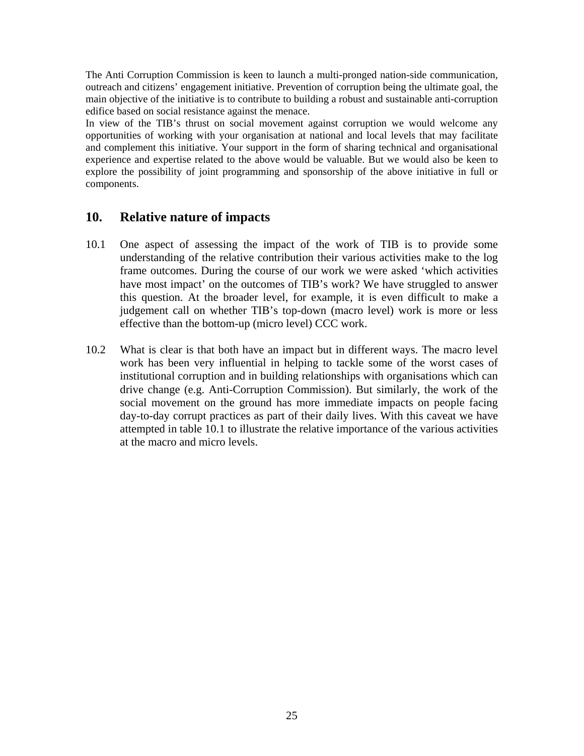The Anti Corruption Commission is keen to launch a multi-pronged nation-side communication, outreach and citizens' engagement initiative. Prevention of corruption being the ultimate goal, the main objective of the initiative is to contribute to building a robust and sustainable anti-corruption edifice based on social resistance against the menace.

In view of the TIB's thrust on social movement against corruption we would welcome any opportunities of working with your organisation at national and local levels that may facilitate and complement this initiative. Your support in the form of sharing technical and organisational experience and expertise related to the above would be valuable. But we would also be keen to explore the possibility of joint programming and sponsorship of the above initiative in full or components.

### **10. Relative nature of impacts**

- 10.1 One aspect of assessing the impact of the work of TIB is to provide some understanding of the relative contribution their various activities make to the log frame outcomes. During the course of our work we were asked 'which activities have most impact' on the outcomes of TIB's work? We have struggled to answer this question. At the broader level, for example, it is even difficult to make a judgement call on whether TIB's top-down (macro level) work is more or less effective than the bottom-up (micro level) CCC work.
- 10.2 What is clear is that both have an impact but in different ways. The macro level work has been very influential in helping to tackle some of the worst cases of institutional corruption and in building relationships with organisations which can drive change (e.g. Anti-Corruption Commission). But similarly, the work of the social movement on the ground has more immediate impacts on people facing day-to-day corrupt practices as part of their daily lives. With this caveat we have attempted in table 10.1 to illustrate the relative importance of the various activities at the macro and micro levels.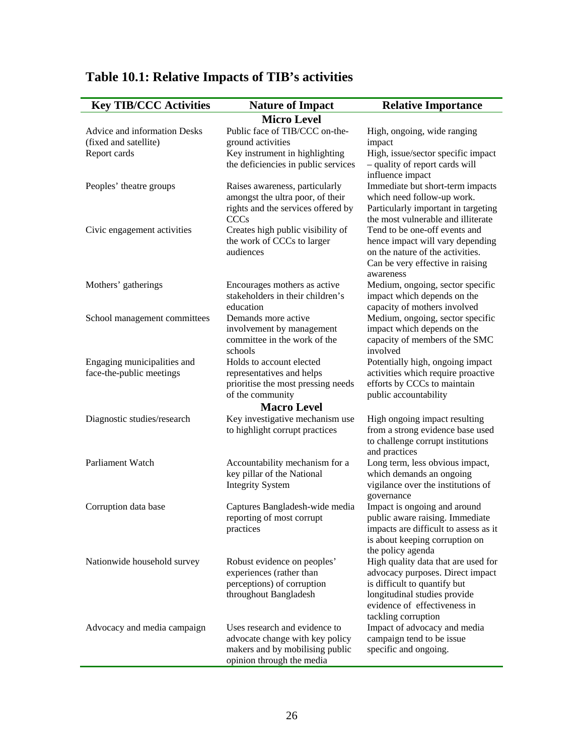| <b>Key TIB/CCC Activities</b>                           | <b>Nature of Impact</b>                                                                                                          | <b>Relative Importance</b>                                                                                                                                                                     |
|---------------------------------------------------------|----------------------------------------------------------------------------------------------------------------------------------|------------------------------------------------------------------------------------------------------------------------------------------------------------------------------------------------|
|                                                         | <b>Micro Level</b>                                                                                                               |                                                                                                                                                                                                |
| Advice and information Desks<br>(fixed and satellite)   | Public face of TIB/CCC on-the-<br>ground activities                                                                              | High, ongoing, wide ranging<br>impact                                                                                                                                                          |
| Report cards                                            | Key instrument in highlighting<br>the deficiencies in public services                                                            | High, issue/sector specific impact<br>- quality of report cards will<br>influence impact                                                                                                       |
| Peoples' theatre groups                                 | Raises awareness, particularly<br>amongst the ultra poor, of their<br>rights and the services offered by<br><b>CCCs</b>          | Immediate but short-term impacts<br>which need follow-up work.<br>Particularly important in targeting<br>the most vulnerable and illiterate                                                    |
| Civic engagement activities                             | Creates high public visibility of<br>the work of CCCs to larger<br>audiences                                                     | Tend to be one-off events and<br>hence impact will vary depending<br>on the nature of the activities.<br>Can be very effective in raising<br>awareness                                         |
| Mothers' gatherings                                     | Encourages mothers as active<br>stakeholders in their children's<br>education                                                    | Medium, ongoing, sector specific<br>impact which depends on the<br>capacity of mothers involved                                                                                                |
| School management committees                            | Demands more active<br>involvement by management<br>committee in the work of the<br>schools                                      | Medium, ongoing, sector specific<br>impact which depends on the<br>capacity of members of the SMC<br>involved                                                                                  |
| Engaging municipalities and<br>face-the-public meetings | Holds to account elected<br>representatives and helps<br>prioritise the most pressing needs<br>of the community                  | Potentially high, ongoing impact<br>activities which require proactive<br>efforts by CCCs to maintain<br>public accountability                                                                 |
|                                                         | <b>Macro Level</b>                                                                                                               |                                                                                                                                                                                                |
| Diagnostic studies/research                             | Key investigative mechanism use<br>to highlight corrupt practices                                                                | High ongoing impact resulting<br>from a strong evidence base used<br>to challenge corrupt institutions<br>and practices                                                                        |
| Parliament Watch                                        | Accountability mechanism for a<br>key pillar of the National<br><b>Integrity System</b>                                          | Long term, less obvious impact,<br>which demands an ongoing<br>vigilance over the institutions of                                                                                              |
| Corruption data base                                    | Captures Bangladesh-wide media<br>reporting of most corrupt<br>practices                                                         | governance<br>Impact is ongoing and around<br>public aware raising. Immediate<br>impacts are difficult to assess as it<br>is about keeping corruption on<br>the policy agenda                  |
| Nationwide household survey                             | Robust evidence on peoples'<br>experiences (rather than<br>perceptions) of corruption<br>throughout Bangladesh                   | High quality data that are used for<br>advocacy purposes. Direct impact<br>is difficult to quantify but<br>longitudinal studies provide<br>evidence of effectiveness in<br>tackling corruption |
| Advocacy and media campaign                             | Uses research and evidence to<br>advocate change with key policy<br>makers and by mobilising public<br>opinion through the media | Impact of advocacy and media<br>campaign tend to be issue<br>specific and ongoing.                                                                                                             |

# **Table 10.1: Relative Impacts of TIB's activities**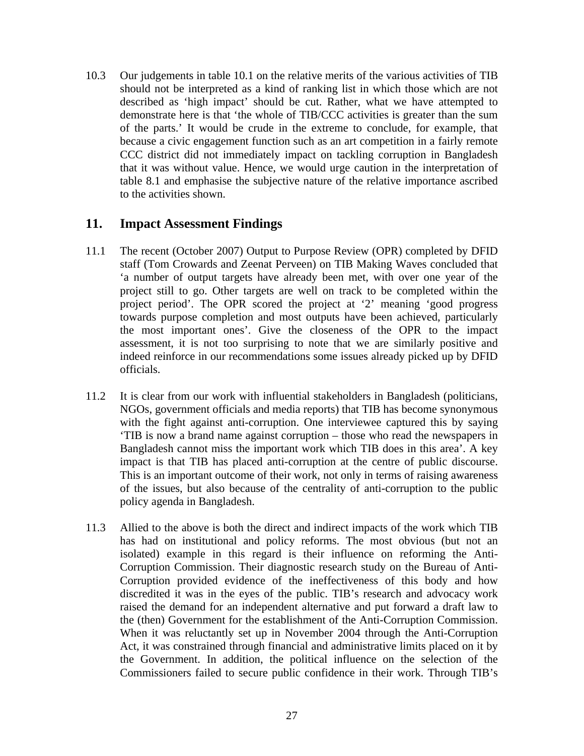10.3 Our judgements in table 10.1 on the relative merits of the various activities of TIB should not be interpreted as a kind of ranking list in which those which are not described as 'high impact' should be cut. Rather, what we have attempted to demonstrate here is that 'the whole of TIB/CCC activities is greater than the sum of the parts.' It would be crude in the extreme to conclude, for example, that because a civic engagement function such as an art competition in a fairly remote CCC district did not immediately impact on tackling corruption in Bangladesh that it was without value. Hence, we would urge caution in the interpretation of table 8.1 and emphasise the subjective nature of the relative importance ascribed to the activities shown.

#### **11. Impact Assessment Findings**

- 11.1 The recent (October 2007) Output to Purpose Review (OPR) completed by DFID staff (Tom Crowards and Zeenat Perveen) on TIB Making Waves concluded that 'a number of output targets have already been met, with over one year of the project still to go. Other targets are well on track to be completed within the project period'. The OPR scored the project at '2' meaning 'good progress towards purpose completion and most outputs have been achieved, particularly the most important ones'. Give the closeness of the OPR to the impact assessment, it is not too surprising to note that we are similarly positive and indeed reinforce in our recommendations some issues already picked up by DFID officials.
- 11.2 It is clear from our work with influential stakeholders in Bangladesh (politicians, NGOs, government officials and media reports) that TIB has become synonymous with the fight against anti-corruption. One interviewee captured this by saying 'TIB is now a brand name against corruption – those who read the newspapers in Bangladesh cannot miss the important work which TIB does in this area'. A key impact is that TIB has placed anti-corruption at the centre of public discourse. This is an important outcome of their work, not only in terms of raising awareness of the issues, but also because of the centrality of anti-corruption to the public policy agenda in Bangladesh.
- 11.3 Allied to the above is both the direct and indirect impacts of the work which TIB has had on institutional and policy reforms. The most obvious (but not an isolated) example in this regard is their influence on reforming the Anti-Corruption Commission. Their diagnostic research study on the Bureau of Anti-Corruption provided evidence of the ineffectiveness of this body and how discredited it was in the eyes of the public. TIB's research and advocacy work raised the demand for an independent alternative and put forward a draft law to the (then) Government for the establishment of the Anti-Corruption Commission. When it was reluctantly set up in November 2004 through the Anti-Corruption Act, it was constrained through financial and administrative limits placed on it by the Government. In addition, the political influence on the selection of the Commissioners failed to secure public confidence in their work. Through TIB's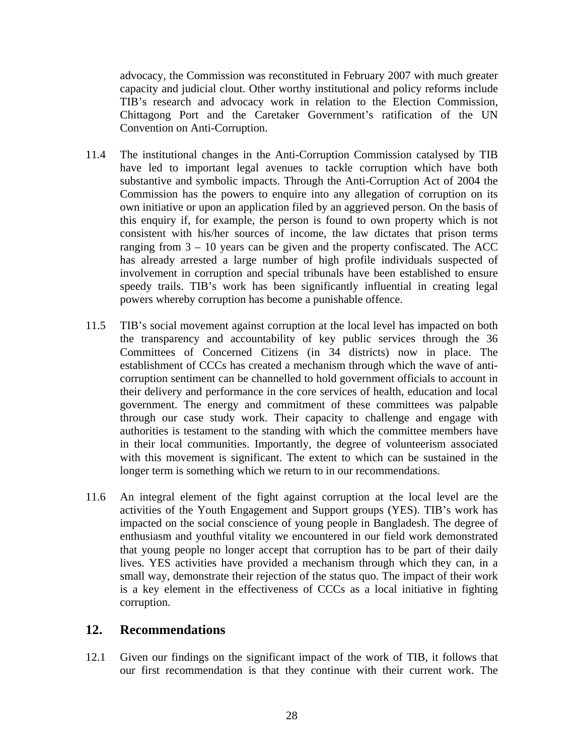advocacy, the Commission was reconstituted in February 2007 with much greater capacity and judicial clout. Other worthy institutional and policy reforms include TIB's research and advocacy work in relation to the Election Commission, Chittagong Port and the Caretaker Government's ratification of the UN Convention on Anti-Corruption.

- 11.4 The institutional changes in the Anti-Corruption Commission catalysed by TIB have led to important legal avenues to tackle corruption which have both substantive and symbolic impacts. Through the Anti-Corruption Act of 2004 the Commission has the powers to enquire into any allegation of corruption on its own initiative or upon an application filed by an aggrieved person. On the basis of this enquiry if, for example, the person is found to own property which is not consistent with his/her sources of income, the law dictates that prison terms ranging from  $3 - 10$  years can be given and the property confiscated. The ACC has already arrested a large number of high profile individuals suspected of involvement in corruption and special tribunals have been established to ensure speedy trails. TIB's work has been significantly influential in creating legal powers whereby corruption has become a punishable offence.
- 11.5 TIB's social movement against corruption at the local level has impacted on both the transparency and accountability of key public services through the 36 Committees of Concerned Citizens (in 34 districts) now in place. The establishment of CCCs has created a mechanism through which the wave of anticorruption sentiment can be channelled to hold government officials to account in their delivery and performance in the core services of health, education and local government. The energy and commitment of these committees was palpable through our case study work. Their capacity to challenge and engage with authorities is testament to the standing with which the committee members have in their local communities. Importantly, the degree of volunteerism associated with this movement is significant. The extent to which can be sustained in the longer term is something which we return to in our recommendations.
- 11.6 An integral element of the fight against corruption at the local level are the activities of the Youth Engagement and Support groups (YES). TIB's work has impacted on the social conscience of young people in Bangladesh. The degree of enthusiasm and youthful vitality we encountered in our field work demonstrated that young people no longer accept that corruption has to be part of their daily lives. YES activities have provided a mechanism through which they can, in a small way, demonstrate their rejection of the status quo. The impact of their work is a key element in the effectiveness of CCCs as a local initiative in fighting corruption.

#### **12. Recommendations**

12.1 Given our findings on the significant impact of the work of TIB, it follows that our first recommendation is that they continue with their current work. The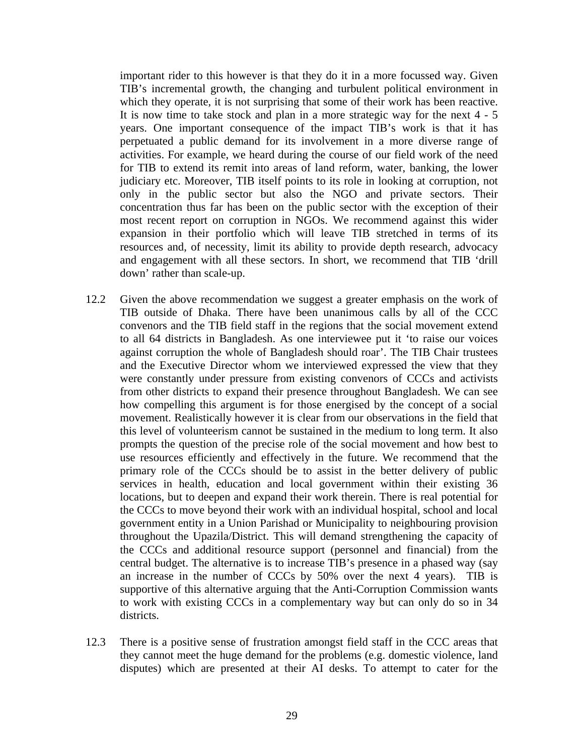important rider to this however is that they do it in a more focussed way. Given TIB's incremental growth, the changing and turbulent political environment in which they operate, it is not surprising that some of their work has been reactive. It is now time to take stock and plan in a more strategic way for the next 4 - 5 years. One important consequence of the impact TIB's work is that it has perpetuated a public demand for its involvement in a more diverse range of activities. For example, we heard during the course of our field work of the need for TIB to extend its remit into areas of land reform, water, banking, the lower judiciary etc. Moreover, TIB itself points to its role in looking at corruption, not only in the public sector but also the NGO and private sectors. Their concentration thus far has been on the public sector with the exception of their most recent report on corruption in NGOs. We recommend against this wider expansion in their portfolio which will leave TIB stretched in terms of its resources and, of necessity, limit its ability to provide depth research, advocacy and engagement with all these sectors. In short, we recommend that TIB 'drill down' rather than scale-up.

- 12.2 Given the above recommendation we suggest a greater emphasis on the work of TIB outside of Dhaka. There have been unanimous calls by all of the CCC convenors and the TIB field staff in the regions that the social movement extend to all 64 districts in Bangladesh. As one interviewee put it 'to raise our voices against corruption the whole of Bangladesh should roar'. The TIB Chair trustees and the Executive Director whom we interviewed expressed the view that they were constantly under pressure from existing convenors of CCCs and activists from other districts to expand their presence throughout Bangladesh. We can see how compelling this argument is for those energised by the concept of a social movement. Realistically however it is clear from our observations in the field that this level of volunteerism cannot be sustained in the medium to long term. It also prompts the question of the precise role of the social movement and how best to use resources efficiently and effectively in the future. We recommend that the primary role of the CCCs should be to assist in the better delivery of public services in health, education and local government within their existing 36 locations, but to deepen and expand their work therein. There is real potential for the CCCs to move beyond their work with an individual hospital, school and local government entity in a Union Parishad or Municipality to neighbouring provision throughout the Upazila/District. This will demand strengthening the capacity of the CCCs and additional resource support (personnel and financial) from the central budget. The alternative is to increase TIB's presence in a phased way (say an increase in the number of CCCs by 50% over the next 4 years). TIB is supportive of this alternative arguing that the Anti-Corruption Commission wants to work with existing CCCs in a complementary way but can only do so in 34 districts.
- 12.3 There is a positive sense of frustration amongst field staff in the CCC areas that they cannot meet the huge demand for the problems (e.g. domestic violence, land disputes) which are presented at their AI desks. To attempt to cater for the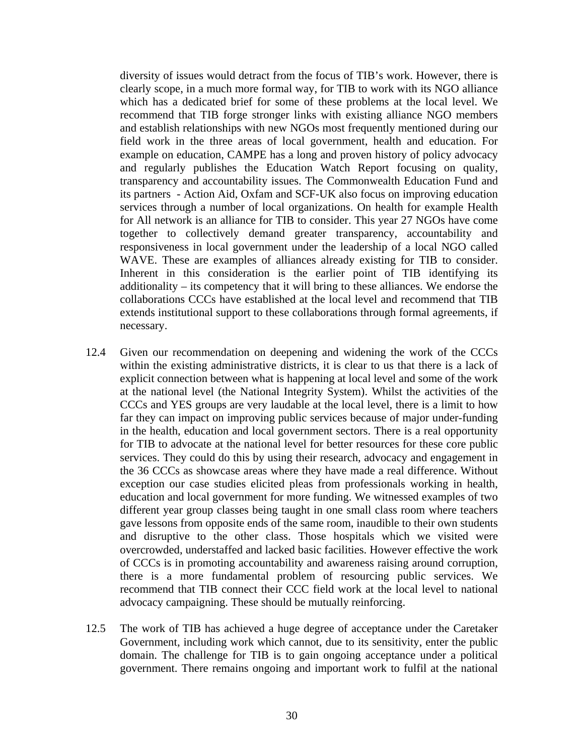diversity of issues would detract from the focus of TIB's work. However, there is clearly scope, in a much more formal way, for TIB to work with its NGO alliance which has a dedicated brief for some of these problems at the local level. We recommend that TIB forge stronger links with existing alliance NGO members and establish relationships with new NGOs most frequently mentioned during our field work in the three areas of local government, health and education. For example on education, CAMPE has a long and proven history of policy advocacy and regularly publishes the Education Watch Report focusing on quality, transparency and accountability issues. The Commonwealth Education Fund and its partners - Action Aid, Oxfam and SCF-UK also focus on improving education services through a number of local organizations. On health for example Health for All network is an alliance for TIB to consider. This year 27 NGOs have come together to collectively demand greater transparency, accountability and responsiveness in local government under the leadership of a local NGO called WAVE. These are examples of alliances already existing for TIB to consider. Inherent in this consideration is the earlier point of TIB identifying its additionality – its competency that it will bring to these alliances. We endorse the collaborations CCCs have established at the local level and recommend that TIB extends institutional support to these collaborations through formal agreements, if necessary.

- 12.4 Given our recommendation on deepening and widening the work of the CCCs within the existing administrative districts, it is clear to us that there is a lack of explicit connection between what is happening at local level and some of the work at the national level (the National Integrity System). Whilst the activities of the CCCs and YES groups are very laudable at the local level, there is a limit to how far they can impact on improving public services because of major under-funding in the health, education and local government sectors. There is a real opportunity for TIB to advocate at the national level for better resources for these core public services. They could do this by using their research, advocacy and engagement in the 36 CCCs as showcase areas where they have made a real difference. Without exception our case studies elicited pleas from professionals working in health, education and local government for more funding. We witnessed examples of two different year group classes being taught in one small class room where teachers gave lessons from opposite ends of the same room, inaudible to their own students and disruptive to the other class. Those hospitals which we visited were overcrowded, understaffed and lacked basic facilities. However effective the work of CCCs is in promoting accountability and awareness raising around corruption, there is a more fundamental problem of resourcing public services. We recommend that TIB connect their CCC field work at the local level to national advocacy campaigning. These should be mutually reinforcing.
- 12.5 The work of TIB has achieved a huge degree of acceptance under the Caretaker Government, including work which cannot, due to its sensitivity, enter the public domain. The challenge for TIB is to gain ongoing acceptance under a political government. There remains ongoing and important work to fulfil at the national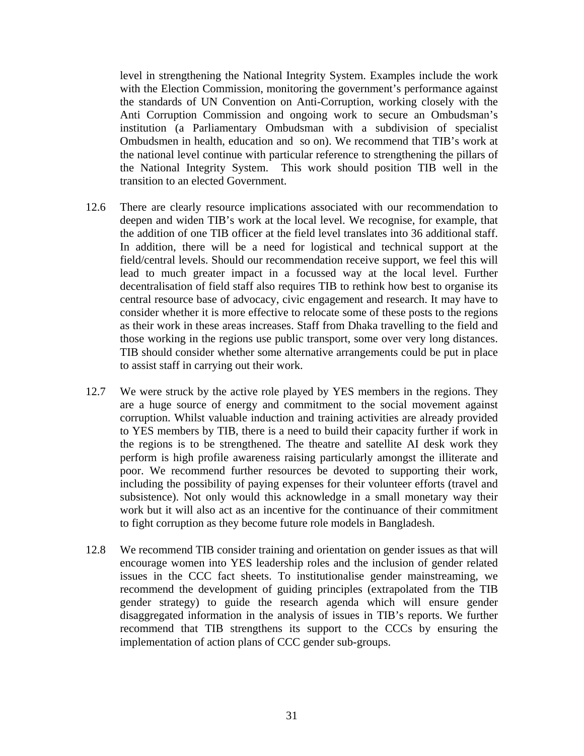level in strengthening the National Integrity System. Examples include the work with the Election Commission, monitoring the government's performance against the standards of UN Convention on Anti-Corruption, working closely with the Anti Corruption Commission and ongoing work to secure an Ombudsman's institution (a Parliamentary Ombudsman with a subdivision of specialist Ombudsmen in health, education and so on). We recommend that TIB's work at the national level continue with particular reference to strengthening the pillars of the National Integrity System. This work should position TIB well in the transition to an elected Government.

- 12.6 There are clearly resource implications associated with our recommendation to deepen and widen TIB's work at the local level. We recognise, for example, that the addition of one TIB officer at the field level translates into 36 additional staff. In addition, there will be a need for logistical and technical support at the field/central levels. Should our recommendation receive support, we feel this will lead to much greater impact in a focussed way at the local level. Further decentralisation of field staff also requires TIB to rethink how best to organise its central resource base of advocacy, civic engagement and research. It may have to consider whether it is more effective to relocate some of these posts to the regions as their work in these areas increases. Staff from Dhaka travelling to the field and those working in the regions use public transport, some over very long distances. TIB should consider whether some alternative arrangements could be put in place to assist staff in carrying out their work.
- 12.7 We were struck by the active role played by YES members in the regions. They are a huge source of energy and commitment to the social movement against corruption. Whilst valuable induction and training activities are already provided to YES members by TIB, there is a need to build their capacity further if work in the regions is to be strengthened. The theatre and satellite AI desk work they perform is high profile awareness raising particularly amongst the illiterate and poor. We recommend further resources be devoted to supporting their work, including the possibility of paying expenses for their volunteer efforts (travel and subsistence). Not only would this acknowledge in a small monetary way their work but it will also act as an incentive for the continuance of their commitment to fight corruption as they become future role models in Bangladesh.
- 12.8 We recommend TIB consider training and orientation on gender issues as that will encourage women into YES leadership roles and the inclusion of gender related issues in the CCC fact sheets. To institutionalise gender mainstreaming, we recommend the development of guiding principles (extrapolated from the TIB gender strategy) to guide the research agenda which will ensure gender disaggregated information in the analysis of issues in TIB's reports. We further recommend that TIB strengthens its support to the CCCs by ensuring the implementation of action plans of CCC gender sub-groups.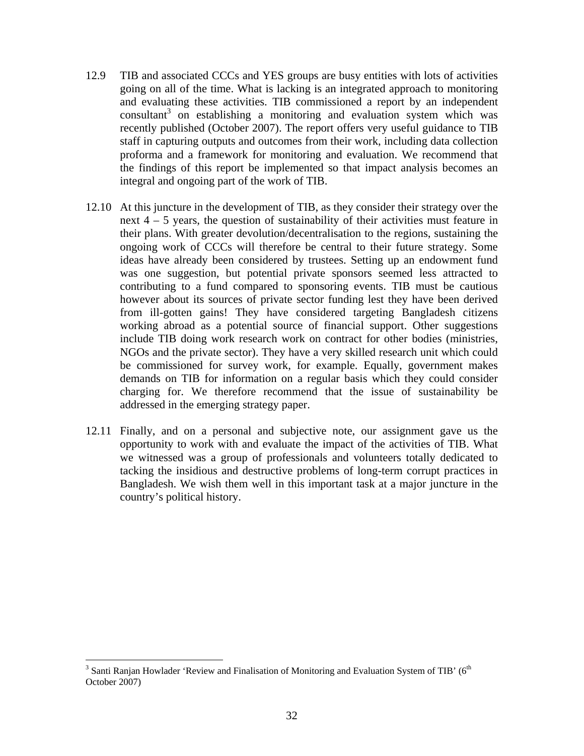- 12.9 TIB and associated CCCs and YES groups are busy entities with lots of activities going on all of the time. What is lacking is an integrated approach to monitoring and evaluating these activities. TIB commissioned a report by an independent  $constant<sup>3</sup>$  on establishing a monitoring and evaluation system which was recently published (October 2007). The report offers very useful guidance to TIB staff in capturing outputs and outcomes from their work, including data collection proforma and a framework for monitoring and evaluation. We recommend that the findings of this report be implemented so that impact analysis becomes an integral and ongoing part of the work of TIB.
- 12.10 At this juncture in the development of TIB, as they consider their strategy over the next 4 – 5 years, the question of sustainability of their activities must feature in their plans. With greater devolution/decentralisation to the regions, sustaining the ongoing work of CCCs will therefore be central to their future strategy. Some ideas have already been considered by trustees. Setting up an endowment fund was one suggestion, but potential private sponsors seemed less attracted to contributing to a fund compared to sponsoring events. TIB must be cautious however about its sources of private sector funding lest they have been derived from ill-gotten gains! They have considered targeting Bangladesh citizens working abroad as a potential source of financial support. Other suggestions include TIB doing work research work on contract for other bodies (ministries, NGOs and the private sector). They have a very skilled research unit which could be commissioned for survey work, for example. Equally, government makes demands on TIB for information on a regular basis which they could consider charging for. We therefore recommend that the issue of sustainability be addressed in the emerging strategy paper.
- 12.11 Finally, and on a personal and subjective note, our assignment gave us the opportunity to work with and evaluate the impact of the activities of TIB. What we witnessed was a group of professionals and volunteers totally dedicated to tacking the insidious and destructive problems of long-term corrupt practices in Bangladesh. We wish them well in this important task at a major juncture in the country's political history.

 $\overline{a}$ 

<sup>&</sup>lt;sup>3</sup> Santi Ranjan Howlader 'Review and Finalisation of Monitoring and Evaluation System of TIB' (6<sup>th</sup> October 2007)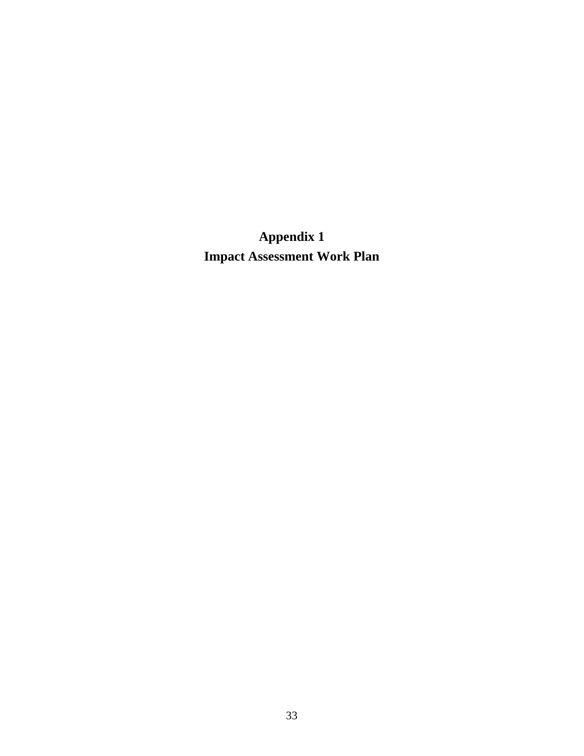**Appendix 1 Impact Assessment Work Plan**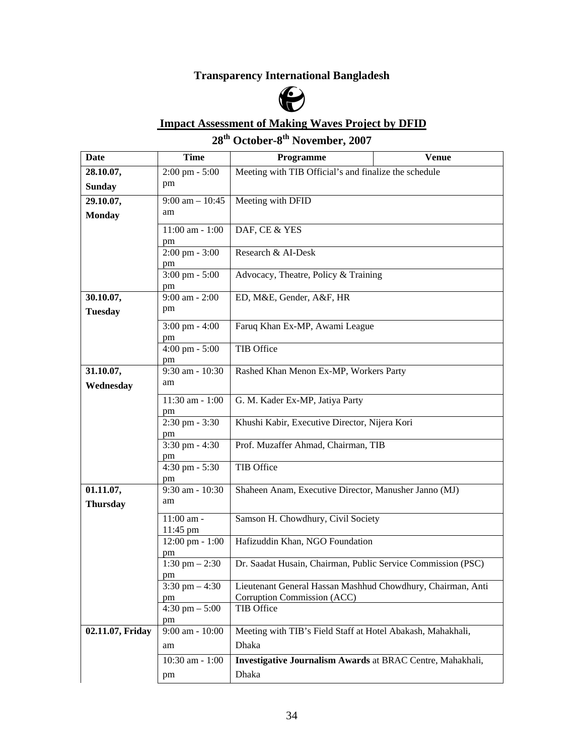## **Transparency International Bangladesh**



## **Impact Assessment of Making Waves Project by DFID**

# **28th October-8th November, 2007**

| Date             | <b>Time</b>                    | Programme                                                    | <b>Venue</b> |  |  |
|------------------|--------------------------------|--------------------------------------------------------------|--------------|--|--|
| 28.10.07,        | $2:00 \text{ pm} - 5:00$       | Meeting with TIB Official's and finalize the schedule        |              |  |  |
| <b>Sunday</b>    | pm                             |                                                              |              |  |  |
| 29.10.07,        | $9:00$ am $-10:45$             | Meeting with DFID                                            |              |  |  |
| <b>Monday</b>    | am                             |                                                              |              |  |  |
|                  | 11:00 am - 1:00                | DAF, CE & YES                                                |              |  |  |
|                  | pm                             |                                                              |              |  |  |
|                  | $2:00$ pm - $3:00$             | Research & AI-Desk                                           |              |  |  |
|                  | pm                             |                                                              |              |  |  |
|                  | $3:00 \text{ pm} - 5:00$<br>pm | Advocacy, Theatre, Policy & Training                         |              |  |  |
| 30.10.07,        | $9:00$ am - $2:00$             | ED, M&E, Gender, A&F, HR                                     |              |  |  |
| <b>Tuesday</b>   | pm                             |                                                              |              |  |  |
|                  | $3:00 \text{ pm} - 4:00$       | Faruq Khan Ex-MP, Awami League                               |              |  |  |
|                  | pm                             |                                                              |              |  |  |
|                  | $4:00 \text{ pm} - 5:00$       | TIB Office                                                   |              |  |  |
|                  | pm                             |                                                              |              |  |  |
| 31.10.07,        | 9:30 am - 10:30                | Rashed Khan Menon Ex-MP, Workers Party                       |              |  |  |
| Wednesday        | am                             |                                                              |              |  |  |
|                  | $11:30$ am $-1:00$             | G. M. Kader Ex-MP, Jatiya Party                              |              |  |  |
|                  | pm                             |                                                              |              |  |  |
|                  | 2:30 pm - 3:30                 | Khushi Kabir, Executive Director, Nijera Kori                |              |  |  |
|                  | pm<br>3:30 pm - 4:30           | Prof. Muzaffer Ahmad, Chairman, TIB                          |              |  |  |
|                  | pm                             |                                                              |              |  |  |
|                  | 4:30 pm - 5:30                 | TIB Office                                                   |              |  |  |
|                  | pm                             |                                                              |              |  |  |
| 01.11.07,        | 9:30 am - 10:30                | Shaheen Anam, Executive Director, Manusher Janno (MJ)        |              |  |  |
| <b>Thursday</b>  | am                             |                                                              |              |  |  |
|                  | 11:00 am -                     | Samson H. Chowdhury, Civil Society                           |              |  |  |
|                  | 11:45 pm<br>12:00 pm - 1:00    | Hafizuddin Khan, NGO Foundation                              |              |  |  |
|                  | pm                             |                                                              |              |  |  |
|                  | $1:30 \text{ pm} - 2:30$       | Dr. Saadat Husain, Chairman, Public Service Commission (PSC) |              |  |  |
|                  | pm                             |                                                              |              |  |  |
|                  | $3:30 \text{ pm} - 4:30$       | Lieutenant General Hassan Mashhud Chowdhury, Chairman, Anti  |              |  |  |
|                  | pm<br>$4:30$ pm $-5:00$        | Corruption Commission (ACC)<br>TIB Office                    |              |  |  |
|                  | pm                             |                                                              |              |  |  |
| 02.11.07, Friday | 9:00 am - 10:00                | Meeting with TIB's Field Staff at Hotel Abakash, Mahakhali,  |              |  |  |
|                  | am                             | Dhaka                                                        |              |  |  |
|                  | 10:30 am - 1:00                | Investigative Journalism Awards at BRAC Centre, Mahakhali,   |              |  |  |
|                  | pm                             | Dhaka                                                        |              |  |  |
|                  |                                |                                                              |              |  |  |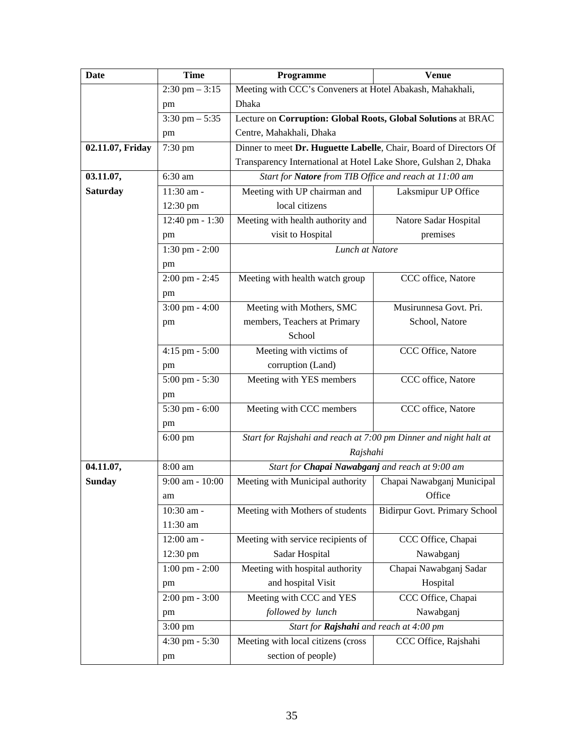| Date             | <b>Time</b>              | Programme<br><b>Venue</b>                                         |                                      |  |  |  |  |  |  |  |
|------------------|--------------------------|-------------------------------------------------------------------|--------------------------------------|--|--|--|--|--|--|--|
|                  | $2:30$ pm $-3:15$        | Meeting with CCC's Conveners at Hotel Abakash, Mahakhali,         |                                      |  |  |  |  |  |  |  |
|                  | pm                       | Dhaka                                                             |                                      |  |  |  |  |  |  |  |
|                  | $3:30$ pm $-5:35$        | Lecture on Corruption: Global Roots, Global Solutions at BRAC     |                                      |  |  |  |  |  |  |  |
|                  | pm                       | Centre, Mahakhali, Dhaka                                          |                                      |  |  |  |  |  |  |  |
| 02.11.07, Friday | 7:30 pm                  | Dinner to meet Dr. Huguette Labelle, Chair, Board of Directors Of |                                      |  |  |  |  |  |  |  |
|                  |                          | Transparency International at Hotel Lake Shore, Gulshan 2, Dhaka  |                                      |  |  |  |  |  |  |  |
| 03.11.07,        | 6:30 am                  | Start for Natore from TIB Office and reach at 11:00 am            |                                      |  |  |  |  |  |  |  |
| Saturday         | 11:30 am -               | Meeting with UP chairman and                                      | Laksmipur UP Office                  |  |  |  |  |  |  |  |
|                  | 12:30 pm                 | local citizens                                                    |                                      |  |  |  |  |  |  |  |
|                  | 12:40 pm - 1:30          | Meeting with health authority and                                 | Natore Sadar Hospital                |  |  |  |  |  |  |  |
|                  | pm                       | visit to Hospital                                                 | premises                             |  |  |  |  |  |  |  |
|                  | $1:30$ pm $- 2:00$       | Lunch at Natore                                                   |                                      |  |  |  |  |  |  |  |
|                  | pm                       |                                                                   |                                      |  |  |  |  |  |  |  |
|                  | $2:00 \text{ pm} - 2:45$ | Meeting with health watch group                                   | CCC office, Natore                   |  |  |  |  |  |  |  |
|                  | pm                       |                                                                   |                                      |  |  |  |  |  |  |  |
|                  | $3:00 \text{ pm} - 4:00$ | Meeting with Mothers, SMC                                         | Musirunnesa Govt. Pri.               |  |  |  |  |  |  |  |
|                  | pm                       | members, Teachers at Primary                                      | School, Natore                       |  |  |  |  |  |  |  |
|                  |                          | School                                                            |                                      |  |  |  |  |  |  |  |
|                  | $4:15$ pm $-5:00$        | Meeting with victims of                                           | CCC Office, Natore                   |  |  |  |  |  |  |  |
|                  | pm                       | corruption (Land)                                                 |                                      |  |  |  |  |  |  |  |
|                  | 5:00 pm - 5:30           | Meeting with YES members                                          | CCC office, Natore                   |  |  |  |  |  |  |  |
|                  | pm                       |                                                                   |                                      |  |  |  |  |  |  |  |
|                  | 5:30 pm - 6:00           | Meeting with CCC members                                          | CCC office, Natore                   |  |  |  |  |  |  |  |
|                  | pm                       |                                                                   |                                      |  |  |  |  |  |  |  |
|                  | $6:00$ pm                | Start for Rajshahi and reach at 7:00 pm Dinner and night halt at  |                                      |  |  |  |  |  |  |  |
|                  |                          | Rajshahi                                                          |                                      |  |  |  |  |  |  |  |
| 04.11.07,        | 8:00 am                  | Start for Chapai Nawabganj and reach at 9:00 am                   |                                      |  |  |  |  |  |  |  |
| <b>Sunday</b>    | 9:00 am - 10:00          | Meeting with Municipal authority                                  | Chapai Nawabganj Municipal           |  |  |  |  |  |  |  |
|                  | am                       |                                                                   | Office                               |  |  |  |  |  |  |  |
|                  | 10:30 am -               | Meeting with Mothers of students                                  | <b>Bidirpur Govt. Primary School</b> |  |  |  |  |  |  |  |
|                  | 11:30 am                 |                                                                   |                                      |  |  |  |  |  |  |  |
|                  | 12:00 am -               | Meeting with service recipients of                                | CCC Office, Chapai                   |  |  |  |  |  |  |  |
|                  | 12:30 pm                 | Sadar Hospital                                                    | Nawabganj                            |  |  |  |  |  |  |  |
|                  | $1:00 \text{ pm} - 2:00$ | Meeting with hospital authority                                   | Chapai Nawabganj Sadar               |  |  |  |  |  |  |  |
|                  | pm                       | and hospital Visit                                                | Hospital                             |  |  |  |  |  |  |  |
|                  | $2:00 \text{ pm} - 3:00$ | Meeting with CCC and YES                                          | CCC Office, Chapai                   |  |  |  |  |  |  |  |
|                  | pm                       | followed by lunch                                                 | Nawabganj                            |  |  |  |  |  |  |  |
|                  | $3:00 \text{ pm}$        | Start for Rajshahi and reach at 4:00 pm                           |                                      |  |  |  |  |  |  |  |
|                  | $4:30$ pm $-5:30$        | Meeting with local citizens (cross                                | CCC Office, Rajshahi                 |  |  |  |  |  |  |  |
|                  | pm                       | section of people)                                                |                                      |  |  |  |  |  |  |  |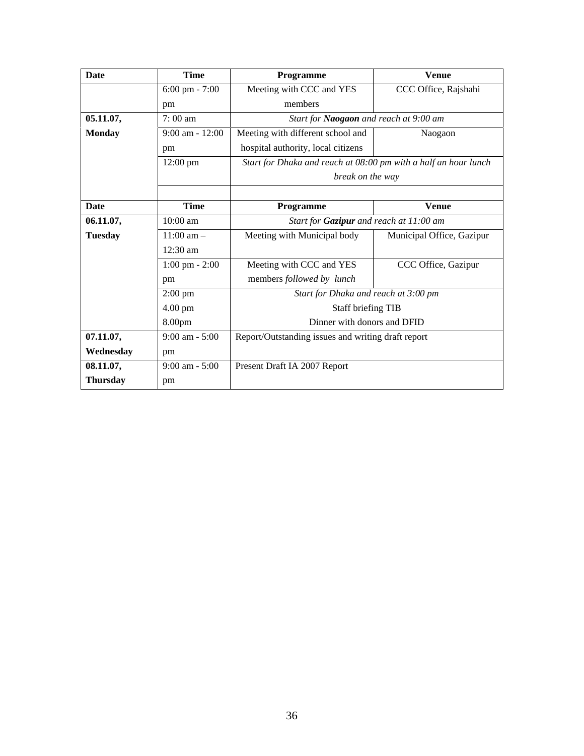| Date            | <b>Time</b>              | Programme                                                       | <b>Venue</b>              |
|-----------------|--------------------------|-----------------------------------------------------------------|---------------------------|
|                 | $6:00 \text{ pm} - 7:00$ | Meeting with CCC and YES                                        | CCC Office, Rajshahi      |
|                 | pm                       | members                                                         |                           |
| 05.11.07,       | $7:00$ am                | Start for Naogaon and reach at 9:00 am                          |                           |
| <b>Monday</b>   | $9:00$ am - 12:00        | Meeting with different school and                               | Naogaon                   |
|                 | pm                       | hospital authority, local citizens                              |                           |
|                 | $12:00 \text{ pm}$       | Start for Dhaka and reach at 08:00 pm with a half an hour lunch |                           |
|                 |                          | break on the way                                                |                           |
|                 |                          |                                                                 |                           |
| <b>Date</b>     | <b>Time</b>              | Programme                                                       | <b>Venue</b>              |
| 06.11.07,       | $10:00$ am               | Start for Gazipur and reach at 11:00 am                         |                           |
| <b>Tuesday</b>  | $11:00$ am $-$           | Meeting with Municipal body                                     | Municipal Office, Gazipur |
|                 | $12:30$ am               |                                                                 |                           |
|                 | $1:00 \text{ pm} - 2:00$ | Meeting with CCC and YES                                        | CCC Office, Gazipur       |
|                 | pm                       | members followed by lunch                                       |                           |
|                 | $2:00 \text{ pm}$        | Start for Dhaka and reach at 3:00 pm                            |                           |
|                 | 4.00 pm                  | <b>Staff briefing TIB</b>                                       |                           |
|                 | 8.00pm                   | Dinner with donors and DFID                                     |                           |
| 07.11.07,       | $9:00 \text{ am} - 5:00$ | Report/Outstanding issues and writing draft report              |                           |
| Wednesday       | pm                       |                                                                 |                           |
| 08.11.07,       | $9:00 \text{ am} - 5:00$ | Present Draft IA 2007 Report                                    |                           |
| <b>Thursday</b> | pm                       |                                                                 |                           |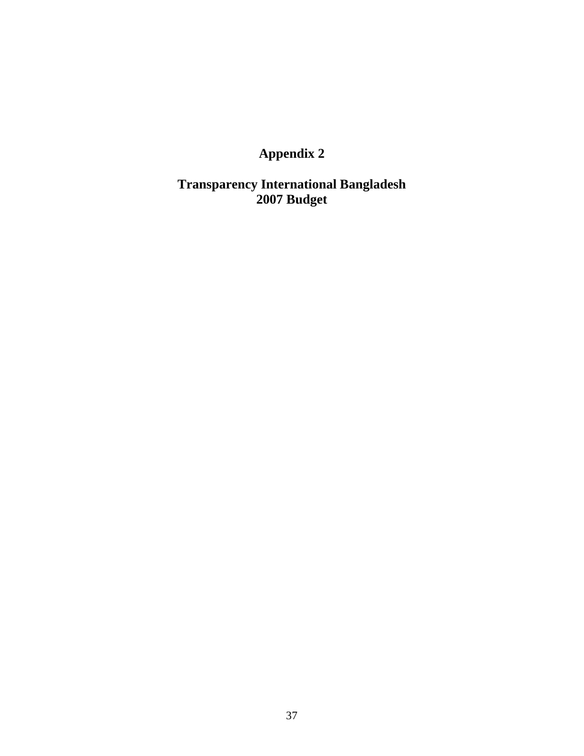# **Appendix 2**

### **Transparency International Bangladesh 2007 Budget**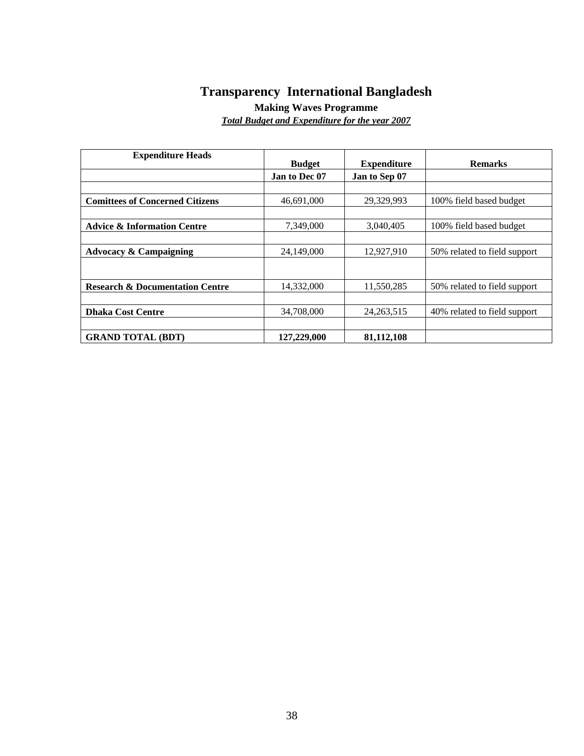## **Transparency International Bangladesh**

**Making Waves Programme**

*Total Budget and Expenditure for the year 2007*

| <b>Expenditure Heads</b>                   | <b>Budget</b> | <b>Expenditure</b> | <b>Remarks</b>               |
|--------------------------------------------|---------------|--------------------|------------------------------|
|                                            | Jan to Dec 07 | Jan to Sep 07      |                              |
|                                            |               |                    |                              |
| <b>Comittees of Concerned Citizens</b>     | 46,691,000    | 29,329,993         | 100% field based budget      |
|                                            |               |                    |                              |
| <b>Advice &amp; Information Centre</b>     | 7,349,000     | 3,040,405          | 100% field based budget      |
|                                            |               |                    |                              |
| <b>Advocacy &amp; Campaigning</b>          | 24,149,000    | 12,927,910         | 50% related to field support |
|                                            |               |                    |                              |
| <b>Research &amp; Documentation Centre</b> | 14,332,000    | 11,550,285         | 50% related to field support |
|                                            |               |                    |                              |
| <b>Dhaka Cost Centre</b>                   | 34,708,000    | 24, 263, 515       | 40% related to field support |
|                                            |               |                    |                              |
| <b>GRAND TOTAL (BDT)</b>                   | 127,229,000   | 81,112,108         |                              |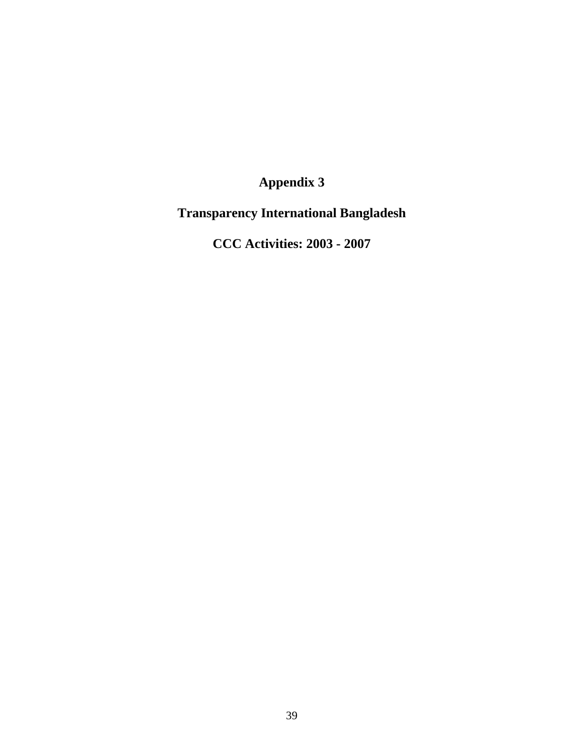# **Appendix 3**

# **Transparency International Bangladesh**

**CCC Activities: 2003 - 2007**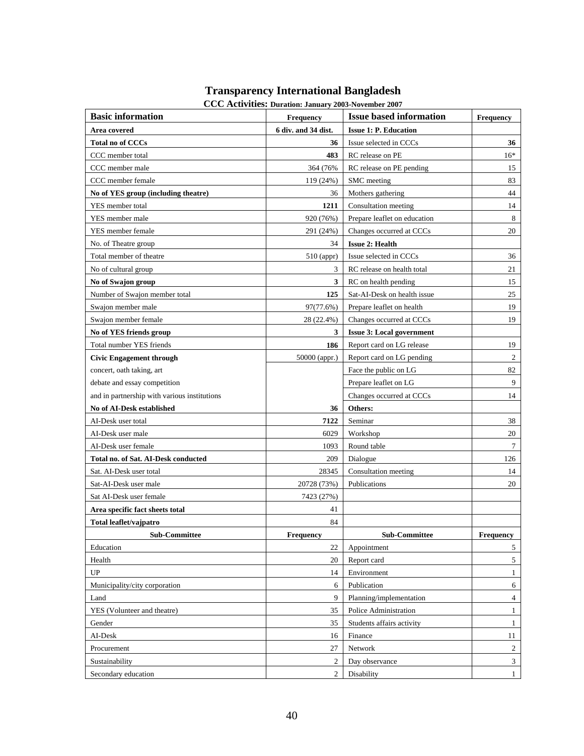#### **Transparency International Bangladesh**

| <b>Basic information</b>                     | CCC ACUVILLES: Duration: January 2003-November 2007 | <b>Issue based information</b>   |                         |
|----------------------------------------------|-----------------------------------------------------|----------------------------------|-------------------------|
| Area covered                                 | <b>Frequency</b><br>6 div. and 34 dist.             | <b>Issue 1: P. Education</b>     | <b>Frequency</b>        |
|                                              |                                                     |                                  |                         |
| <b>Total no of CCCs</b>                      | 36                                                  | Issue selected in CCCs           | 36<br>$16*$             |
| CCC member total<br>CCC member male          | 483                                                 | RC release on PE                 |                         |
|                                              | 364 (76%                                            | RC release on PE pending         | 15                      |
| CCC member female                            | 119 (24%)                                           | SMC meeting                      | 83                      |
| No of YES group (including theatre)          | 36                                                  | Mothers gathering                | 44                      |
| YES member total                             | 1211                                                | Consultation meeting             | 14                      |
| YES member male                              | 920 (76%)                                           | Prepare leaflet on education     | 8                       |
| YES member female                            | 291 (24%)                                           | Changes occurred at CCCs         | 20                      |
| No. of Theatre group                         | 34                                                  | <b>Issue 2: Health</b>           |                         |
| Total member of theatre                      | $510$ (appr)                                        | Issue selected in CCCs           | 36                      |
| No of cultural group                         | 3                                                   | RC release on health total       | 21                      |
| No of Swajon group                           | 3                                                   | RC on health pending             | 15                      |
| Number of Swajon member total                | 125                                                 | Sat-AI-Desk on health issue      | 25                      |
| Swajon member male                           | 97(77.6%)                                           | Prepare leaflet on health        | 19                      |
| Swajon member female                         | 28 (22.4%)                                          | Changes occurred at CCCs         | 19                      |
| No of YES friends group                      | 3                                                   | <b>Issue 3: Local government</b> |                         |
| Total number YES friends                     | 186                                                 | Report card on LG release        | 19                      |
| <b>Civic Engagement through</b>              | 50000 (appr.)                                       | Report card on LG pending        | $\mathfrak{2}$          |
| concert, oath taking, art                    |                                                     | Face the public on LG            | 82                      |
| debate and essay competition                 |                                                     | Prepare leaflet on LG            | 9                       |
| and in partnership with various institutions |                                                     | Changes occurred at CCCs         | 14                      |
| No of AI-Desk established                    | 36                                                  | Others:                          |                         |
| AI-Desk user total                           | 7122                                                | Seminar                          | 38                      |
| AI-Desk user male                            | 6029                                                | Workshop                         | 20                      |
| AI-Desk user female                          | 1093                                                | Round table                      | $\overline{7}$          |
| Total no. of Sat. AI-Desk conducted          | 209                                                 | Dialogue                         | 126                     |
| Sat. AI-Desk user total                      | 28345                                               | Consultation meeting             | 14                      |
| Sat-AI-Desk user male                        | 20728 (73%)                                         | Publications                     | 20                      |
| Sat AI-Desk user female                      | 7423 (27%)                                          |                                  |                         |
| Area specific fact sheets total              | 41                                                  |                                  |                         |
| Total leaflet/vajpatro                       | 84                                                  |                                  |                         |
| <b>Sub-Committee</b>                         | <b>Frequency</b>                                    | <b>Sub-Committee</b>             | <b>Frequency</b>        |
| Education                                    | 22                                                  | Appointment                      | 5                       |
| Health                                       | 20                                                  | Report card                      | 5                       |
| <b>UP</b>                                    | 14                                                  | Environment                      | $\mathbf{1}$            |
| Municipality/city corporation                | 6                                                   | Publication                      | 6                       |
| Land                                         | 9                                                   | Planning/implementation          | 4                       |
| YES (Volunteer and theatre)                  | 35                                                  | Police Administration            | 1                       |
| Gender                                       | 35                                                  | Students affairs activity        | 1                       |
| AI-Desk                                      | 16                                                  | Finance                          | 11                      |
| Procurement                                  | 27                                                  | Network                          | $\overline{c}$          |
| Sustainability                               | $\boldsymbol{2}$                                    | Day observance                   | $\overline{\mathbf{3}}$ |
| Secondary education                          | $\overline{c}$                                      | Disability                       | 1                       |
|                                              |                                                     |                                  |                         |

#### **CCC Activities: Duration: January 2003-November 2007**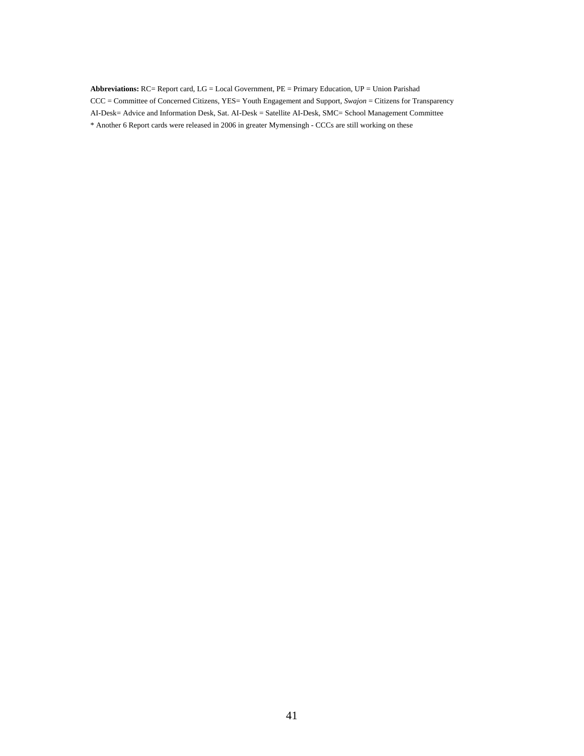**Abbreviations:** RC= Report card, LG = Local Government, PE = Primary Education, UP = Union Parishad CCC = Committee of Concerned Citizens, YES= Youth Engagement and Support, *Swajon* = Citizens for Transparency AI-Desk= Advice and Information Desk, Sat. AI-Desk = Satellite AI-Desk, SMC= School Management Committee \* Another 6 Report cards were released in 2006 in greater Mymensingh - CCCs are still working on these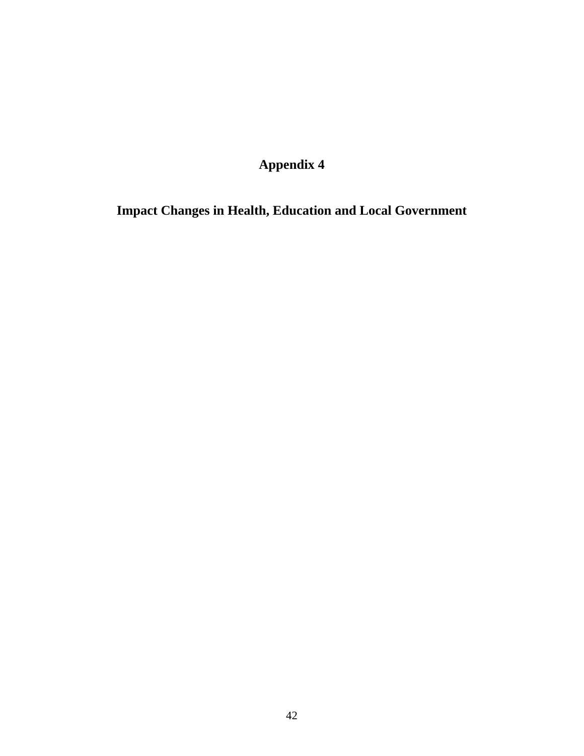# **Appendix 4**

**Impact Changes in Health, Education and Local Government**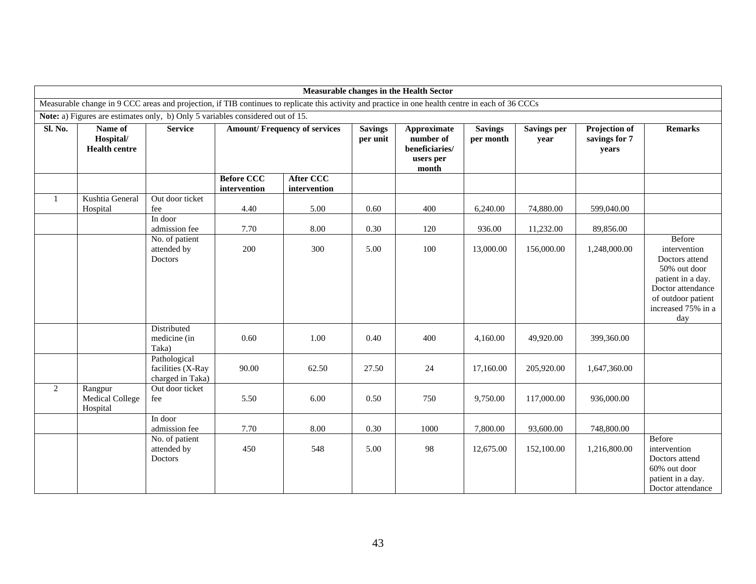|         | Measurable changes in the Health Sector                                                                                                           |                                                       |                                   |                                     |                            |                                                                  |                             |                            |                                         |                                                                                                                                                       |  |  |  |
|---------|---------------------------------------------------------------------------------------------------------------------------------------------------|-------------------------------------------------------|-----------------------------------|-------------------------------------|----------------------------|------------------------------------------------------------------|-----------------------------|----------------------------|-----------------------------------------|-------------------------------------------------------------------------------------------------------------------------------------------------------|--|--|--|
|         | Measurable change in 9 CCC areas and projection, if TIB continues to replicate this activity and practice in one health centre in each of 36 CCCs |                                                       |                                   |                                     |                            |                                                                  |                             |                            |                                         |                                                                                                                                                       |  |  |  |
|         | Note: a) Figures are estimates only, b) Only 5 variables considered out of 15.                                                                    |                                                       |                                   |                                     |                            |                                                                  |                             |                            |                                         |                                                                                                                                                       |  |  |  |
| Sl. No. | Name of<br>Hospital/<br><b>Health centre</b>                                                                                                      | <b>Service</b>                                        |                                   | <b>Amount/Frequency of services</b> | <b>Savings</b><br>per unit | Approximate<br>number of<br>beneficiaries/<br>users per<br>month | <b>Savings</b><br>per month | <b>Savings per</b><br>year | Projection of<br>savings for 7<br>years | <b>Remarks</b>                                                                                                                                        |  |  |  |
|         |                                                                                                                                                   |                                                       | <b>Before CCC</b><br>intervention | <b>After CCC</b><br>intervention    |                            |                                                                  |                             |                            |                                         |                                                                                                                                                       |  |  |  |
|         | Kushtia General                                                                                                                                   | Out door ticket                                       |                                   |                                     |                            |                                                                  |                             |                            |                                         |                                                                                                                                                       |  |  |  |
|         | Hospital                                                                                                                                          | fee                                                   | 4.40                              | 5.00                                | 0.60                       | 400                                                              | 6,240.00                    | 74,880.00                  | 599,040.00                              |                                                                                                                                                       |  |  |  |
|         |                                                                                                                                                   | In door<br>admission fee                              | 7.70                              | 8.00                                | 0.30                       | 120                                                              | 936.00                      | 11,232.00                  | 89,856.00                               |                                                                                                                                                       |  |  |  |
|         |                                                                                                                                                   | No. of patient<br>attended by<br>Doctors              | 200                               | 300                                 | 5.00                       | 100                                                              | 13,000.00                   | 156,000.00                 | 1,248,000.00                            | Before<br>intervention<br>Doctors attend<br>50% out door<br>patient in a day.<br>Doctor attendance<br>of outdoor patient<br>increased 75% in a<br>day |  |  |  |
|         |                                                                                                                                                   | Distributed<br>medicine (in<br>Taka)                  | 0.60                              | 1.00                                | 0.40                       | 400                                                              | 4,160.00                    | 49,920.00                  | 399,360.00                              |                                                                                                                                                       |  |  |  |
|         |                                                                                                                                                   | Pathological<br>facilities (X-Ray<br>charged in Taka) | 90.00                             | 62.50                               | 27.50                      | 24                                                               | 17,160.00                   | 205,920.00                 | 1,647,360.00                            |                                                                                                                                                       |  |  |  |
| 2       | Rangpur<br>Medical College<br>Hospital                                                                                                            | Out door ticket<br>fee                                | 5.50                              | 6.00                                | 0.50                       | 750                                                              | 9,750.00                    | 117,000.00                 | 936,000.00                              |                                                                                                                                                       |  |  |  |
|         |                                                                                                                                                   | In door<br>admission fee                              | 7.70                              | 8.00                                | 0.30                       | 1000                                                             | 7,800.00                    | 93,600.00                  | 748,800.00                              |                                                                                                                                                       |  |  |  |
|         |                                                                                                                                                   | No. of patient<br>attended by<br>Doctors              | 450                               | 548                                 | 5.00                       | 98                                                               | 12,675.00                   | 152,100.00                 | 1,216,800.00                            | Before<br>intervention<br>Doctors attend<br>60% out door<br>patient in a day.<br>Doctor attendance                                                    |  |  |  |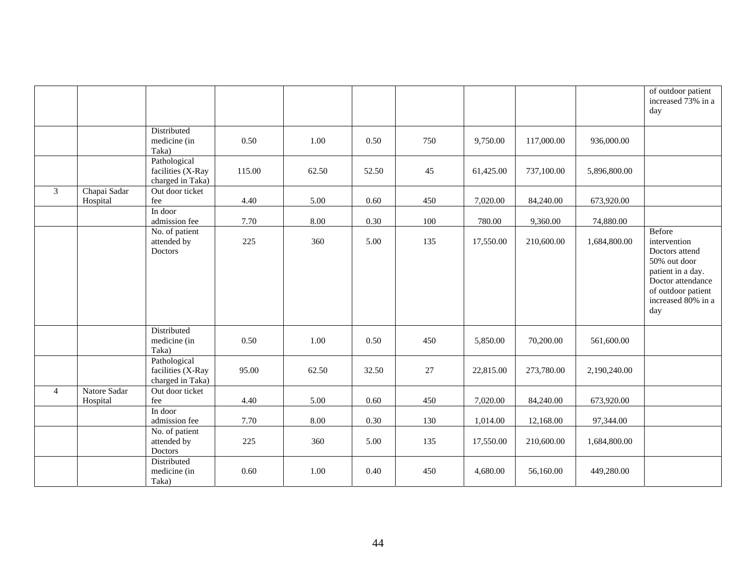|                |                          |                                                       |        |       |       |        |           |            |              | of outdoor patient<br>increased 73% in a<br>day                                                                                                       |
|----------------|--------------------------|-------------------------------------------------------|--------|-------|-------|--------|-----------|------------|--------------|-------------------------------------------------------------------------------------------------------------------------------------------------------|
|                |                          | Distributed<br>medicine (in<br>Taka)                  | 0.50   | 1.00  | 0.50  | 750    | 9,750.00  | 117,000.00 | 936,000.00   |                                                                                                                                                       |
|                |                          | Pathological<br>facilities (X-Ray<br>charged in Taka) | 115.00 | 62.50 | 52.50 | 45     | 61,425.00 | 737,100.00 | 5,896,800.00 |                                                                                                                                                       |
| 3              | Chapai Sadar<br>Hospital | Out door ticket<br>fee                                | 4.40   | 5.00  | 0.60  | 450    | 7,020.00  | 84,240.00  | 673,920.00   |                                                                                                                                                       |
|                |                          | In door<br>admission fee                              | 7.70   | 8.00  | 0.30  | 100    | 780.00    | 9,360.00   | 74,880.00    |                                                                                                                                                       |
|                |                          | No. of patient<br>attended by<br>Doctors              | 225    | 360   | 5.00  | 135    | 17,550.00 | 210,600.00 | 1,684,800.00 | Before<br>intervention<br>Doctors attend<br>50% out door<br>patient in a day.<br>Doctor attendance<br>of outdoor patient<br>increased 80% in a<br>day |
|                |                          | Distributed<br>medicine (in<br>Taka)                  | 0.50   | 1.00  | 0.50  | 450    | 5,850.00  | 70,200.00  | 561,600.00   |                                                                                                                                                       |
|                |                          | Pathological<br>facilities (X-Ray<br>charged in Taka) | 95.00  | 62.50 | 32.50 | $27\,$ | 22,815.00 | 273,780.00 | 2,190,240.00 |                                                                                                                                                       |
| $\overline{4}$ | Natore Sadar<br>Hospital | Out door ticket<br>fee                                | 4.40   | 5.00  | 0.60  | 450    | 7,020.00  | 84,240.00  | 673,920.00   |                                                                                                                                                       |
|                |                          | In door<br>admission fee                              | 7.70   | 8.00  | 0.30  | 130    | 1,014.00  | 12,168.00  | 97,344.00    |                                                                                                                                                       |
|                |                          | No. of patient<br>attended by<br>Doctors              | 225    | 360   | 5.00  | 135    | 17,550.00 | 210,600.00 | 1,684,800.00 |                                                                                                                                                       |
|                |                          | Distributed<br>medicine (in<br>Taka)                  | 0.60   | 1.00  | 0.40  | 450    | 4,680.00  | 56,160.00  | 449,280.00   |                                                                                                                                                       |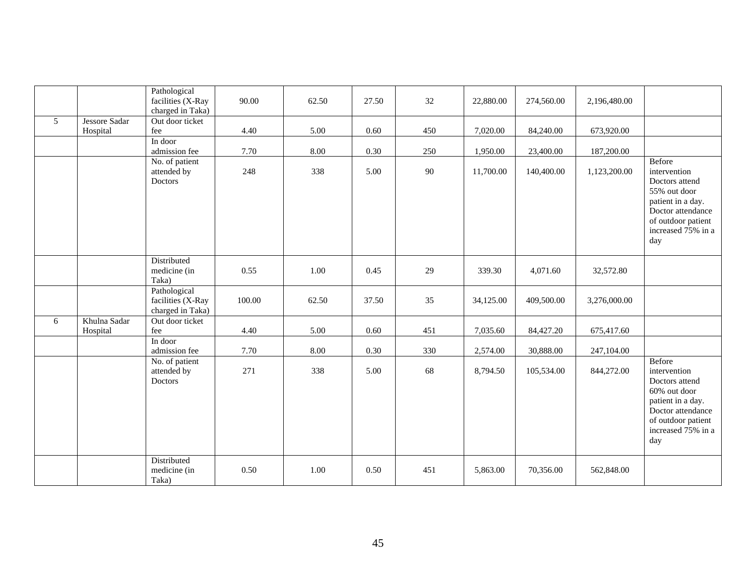|                |                           | Pathological<br>facilities (X-Ray<br>charged in Taka) | 90.00  | 62.50 | 27.50 | 32  | 22,880.00 | 274,560.00 | 2,196,480.00 |                                                                                                                                                       |
|----------------|---------------------------|-------------------------------------------------------|--------|-------|-------|-----|-----------|------------|--------------|-------------------------------------------------------------------------------------------------------------------------------------------------------|
| 5 <sup>5</sup> | Jessore Sadar<br>Hospital | Out door ticket<br>fee                                | 4.40   | 5.00  | 0.60  | 450 | 7,020.00  | 84,240.00  | 673,920.00   |                                                                                                                                                       |
|                |                           | In door<br>admission fee                              | 7.70   | 8.00  | 0.30  | 250 | 1,950.00  | 23,400.00  | 187,200.00   |                                                                                                                                                       |
|                |                           | No. of patient<br>attended by<br>Doctors              | 248    | 338   | 5.00  | 90  | 11,700.00 | 140,400.00 | 1,123,200.00 | Before<br>intervention<br>Doctors attend<br>55% out door<br>patient in a day.<br>Doctor attendance<br>of outdoor patient<br>increased 75% in a<br>day |
|                |                           | Distributed<br>medicine (in<br>Taka)                  | 0.55   | 1.00  | 0.45  | 29  | 339.30    | 4,071.60   | 32,572.80    |                                                                                                                                                       |
|                |                           | Pathological<br>facilities (X-Ray<br>charged in Taka) | 100.00 | 62.50 | 37.50 | 35  | 34,125.00 | 409,500.00 | 3,276,000.00 |                                                                                                                                                       |
| 6              | Khulna Sadar<br>Hospital  | Out door ticket<br>fee                                | 4.40   | 5.00  | 0.60  | 451 | 7,035.60  | 84,427.20  | 675,417.60   |                                                                                                                                                       |
|                |                           | In door<br>admission fee                              | 7.70   | 8.00  | 0.30  | 330 | 2,574.00  | 30,888.00  | 247,104.00   |                                                                                                                                                       |
|                |                           | No. of patient<br>attended by<br>Doctors              | 271    | 338   | 5.00  | 68  | 8,794.50  | 105,534.00 | 844,272.00   | Before<br>intervention<br>Doctors attend<br>60% out door<br>patient in a day.<br>Doctor attendance<br>of outdoor patient<br>increased 75% in a<br>day |
|                |                           | Distributed<br>medicine (in<br>Taka)                  | 0.50   | 1.00  | 0.50  | 451 | 5,863.00  | 70,356.00  | 562,848.00   |                                                                                                                                                       |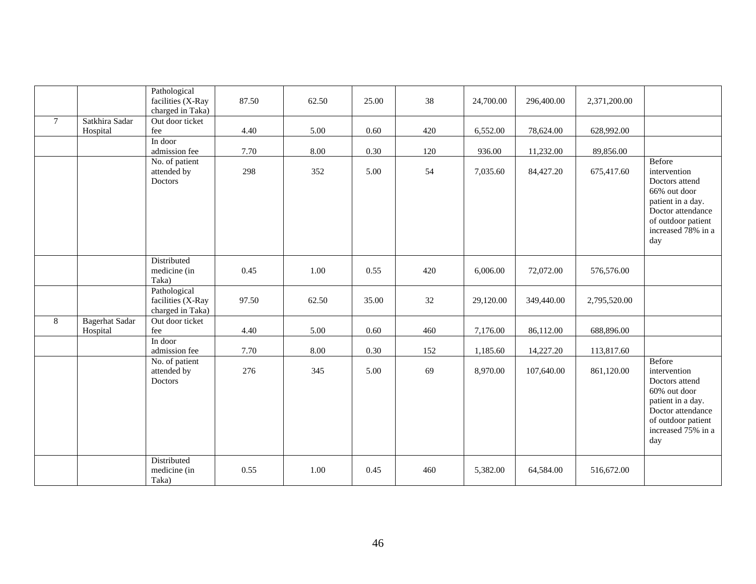|                 |                                   | Pathological<br>facilities (X-Ray<br>charged in Taka) | 87.50 | 62.50 | 25.00 | 38  | 24,700.00 | 296,400.00 | 2,371,200.00 |                                                                                                                                                       |
|-----------------|-----------------------------------|-------------------------------------------------------|-------|-------|-------|-----|-----------|------------|--------------|-------------------------------------------------------------------------------------------------------------------------------------------------------|
| $7\overline{ }$ | Satkhira Sadar<br>Hospital        | Out door ticket<br>fee                                | 4.40  | 5.00  | 0.60  | 420 | 6,552.00  | 78,624.00  | 628,992.00   |                                                                                                                                                       |
|                 |                                   | In door<br>admission fee                              | 7.70  | 8.00  | 0.30  | 120 | 936.00    | 11,232.00  | 89,856.00    |                                                                                                                                                       |
|                 |                                   | No. of patient<br>attended by<br>Doctors              | 298   | 352   | 5.00  | 54  | 7,035.60  | 84,427.20  | 675,417.60   | Before<br>intervention<br>Doctors attend<br>66% out door<br>patient in a day.<br>Doctor attendance<br>of outdoor patient<br>increased 78% in a<br>day |
|                 |                                   | Distributed<br>medicine (in<br>Taka)                  | 0.45  | 1.00  | 0.55  | 420 | 6,006.00  | 72,072.00  | 576,576.00   |                                                                                                                                                       |
|                 |                                   | Pathological<br>facilities (X-Ray<br>charged in Taka) | 97.50 | 62.50 | 35.00 | 32  | 29,120.00 | 349,440.00 | 2,795,520.00 |                                                                                                                                                       |
| 8               | <b>Bagerhat Sadar</b><br>Hospital | Out door ticket<br>fee                                | 4.40  | 5.00  | 0.60  | 460 | 7,176.00  | 86,112.00  | 688,896.00   |                                                                                                                                                       |
|                 |                                   | In door<br>admission fee                              | 7.70  | 8.00  | 0.30  | 152 | 1,185.60  | 14,227.20  | 113,817.60   |                                                                                                                                                       |
|                 |                                   | No. of patient<br>attended by<br>Doctors              | 276   | 345   | 5.00  | 69  | 8,970.00  | 107,640.00 | 861,120.00   | Before<br>intervention<br>Doctors attend<br>60% out door<br>patient in a day.<br>Doctor attendance<br>of outdoor patient<br>increased 75% in a<br>day |
|                 |                                   | Distributed<br>medicine (in<br>Taka)                  | 0.55  | 1.00  | 0.45  | 460 | 5,382.00  | 64,584.00  | 516,672.00   |                                                                                                                                                       |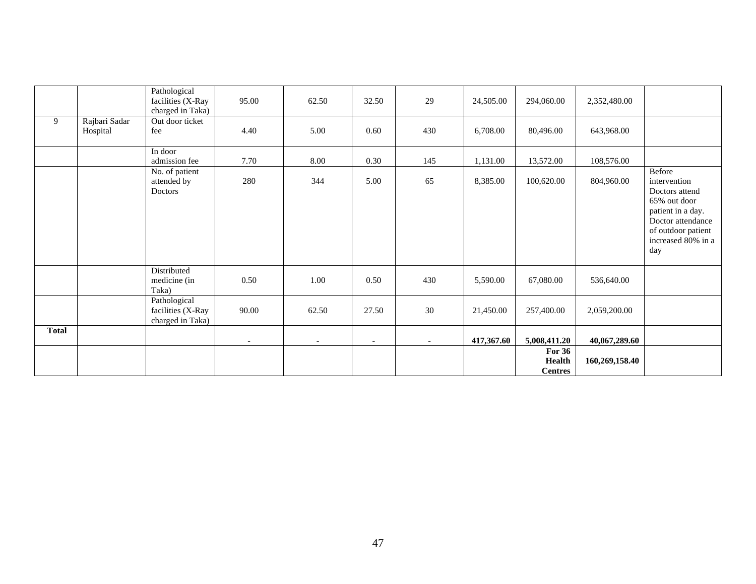|              |                           | Pathological<br>facilities (X-Ray<br>charged in Taka) | 95.00          | 62.50  | 32.50  | 29             | 24,505.00  | 294,060.00                                | 2,352,480.00   |                                                                                                                                                       |
|--------------|---------------------------|-------------------------------------------------------|----------------|--------|--------|----------------|------------|-------------------------------------------|----------------|-------------------------------------------------------------------------------------------------------------------------------------------------------|
| 9            | Rajbari Sadar<br>Hospital | Out door ticket<br>fee                                | 4.40           | 5.00   | 0.60   | 430            | 6,708.00   | 80,496.00                                 | 643,968.00     |                                                                                                                                                       |
|              |                           | In door<br>admission fee                              | 7.70           | 8.00   | 0.30   | 145            | 1,131.00   | 13,572.00                                 | 108,576.00     |                                                                                                                                                       |
|              |                           | No. of patient<br>attended by<br>Doctors              | 280            | 344    | 5.00   | 65             | 8,385.00   | 100,620.00                                | 804,960.00     | Before<br>intervention<br>Doctors attend<br>65% out door<br>patient in a day.<br>Doctor attendance<br>of outdoor patient<br>increased 80% in a<br>day |
|              |                           | Distributed<br>medicine (in<br>Taka)                  | 0.50           | 1.00   | 0.50   | 430            | 5,590.00   | 67,080.00                                 | 536,640.00     |                                                                                                                                                       |
|              |                           | Pathological<br>facilities (X-Ray<br>charged in Taka) | 90.00          | 62.50  | 27.50  | $30\,$         | 21,450.00  | 257,400.00                                | 2,059,200.00   |                                                                                                                                                       |
| <b>Total</b> |                           |                                                       | $\blacksquare$ | $\sim$ | $\sim$ | $\blacksquare$ | 417,367.60 | 5,008,411.20                              | 40,067,289.60  |                                                                                                                                                       |
|              |                           |                                                       |                |        |        |                |            | <b>For 36</b><br>Health<br><b>Centres</b> | 160,269,158.40 |                                                                                                                                                       |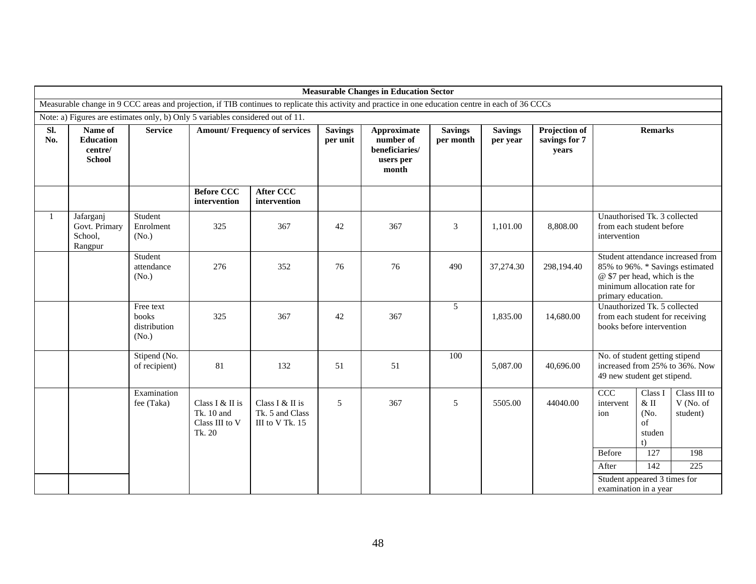|            |                                                         |                                             |                                                                                |                                                                                                                                                      |                            | <b>Measurable Changes in Education Sector</b>                    |                             |                            |                                         |                                                                                                                                                                                                                                                                                                                                                              |                |                                                    |
|------------|---------------------------------------------------------|---------------------------------------------|--------------------------------------------------------------------------------|------------------------------------------------------------------------------------------------------------------------------------------------------|----------------------------|------------------------------------------------------------------|-----------------------------|----------------------------|-----------------------------------------|--------------------------------------------------------------------------------------------------------------------------------------------------------------------------------------------------------------------------------------------------------------------------------------------------------------------------------------------------------------|----------------|----------------------------------------------------|
|            |                                                         |                                             |                                                                                | Measurable change in 9 CCC areas and projection, if TIB continues to replicate this activity and practice in one education centre in each of 36 CCCs |                            |                                                                  |                             |                            |                                         |                                                                                                                                                                                                                                                                                                                                                              |                |                                                    |
|            |                                                         |                                             | Note: a) Figures are estimates only, b) Only 5 variables considered out of 11. |                                                                                                                                                      |                            |                                                                  |                             |                            |                                         |                                                                                                                                                                                                                                                                                                                                                              |                |                                                    |
| Sl.<br>No. | Name of<br><b>Education</b><br>centre/<br><b>School</b> | <b>Service</b>                              | <b>Amount/Frequency of services</b><br><b>After CCC</b><br><b>Before CCC</b>   |                                                                                                                                                      | <b>Savings</b><br>per unit | Approximate<br>number of<br>beneficiaries/<br>users per<br>month | <b>Savings</b><br>per month | <b>Savings</b><br>per year | Projection of<br>savings for 7<br>years |                                                                                                                                                                                                                                                                                                                                                              | <b>Remarks</b> |                                                    |
|            |                                                         |                                             | intervention                                                                   | intervention                                                                                                                                         |                            |                                                                  |                             |                            |                                         |                                                                                                                                                                                                                                                                                                                                                              |                |                                                    |
| 1          | Jafarganj<br>Govt. Primary<br>School,<br>Rangpur        | Student<br>Enrolment<br>(No.)               | 325                                                                            | 367                                                                                                                                                  | 42                         | 367                                                              | 3                           | 1,101.00                   | 8,808.00                                | Unauthorised Tk. 3 collected<br>from each student before<br>intervention                                                                                                                                                                                                                                                                                     |                |                                                    |
|            |                                                         | Student<br>attendance<br>(No.)              | 276                                                                            | 352                                                                                                                                                  | 76                         | 76                                                               | 490                         | 37,274.30                  | 298,194.40                              | Student attendance increased from<br>85% to 96%. * Savings estimated<br>@ \$7 per head, which is the<br>minimum allocation rate for<br>primary education.<br>Unauthorized Tk. 5 collected<br>from each student for receiving<br>books before intervention<br>No. of student getting stipend<br>increased from 25% to 36%. Now<br>49 new student get stipend. |                |                                                    |
|            |                                                         | Free text<br>books<br>distribution<br>(No.) | 325                                                                            | 367                                                                                                                                                  | 42                         | 367                                                              | 5                           | 1,835.00                   | 14,680.00                               |                                                                                                                                                                                                                                                                                                                                                              |                |                                                    |
|            |                                                         | Stipend (No.<br>of recipient)               | 81                                                                             | 132                                                                                                                                                  | 51                         | 51                                                               | 100                         | 5,087.00                   | 40,696.00                               |                                                                                                                                                                                                                                                                                                                                                              |                |                                                    |
|            |                                                         | Examination<br>fee (Taka)                   | Class I & II is<br>Tk. 10 and<br>Class III to V<br>Tk. 20                      | Class I & II is<br>Tk. 5 and Class<br>III to V Tk. 15                                                                                                | 5                          | 367                                                              | 5                           | 5505.00                    | 44040.00                                | CCC<br>Class I<br>$\&$ II<br>intervent<br>(No.<br>ion<br>of<br>studen<br>t)<br>127<br>Before<br>142<br>After<br>Student appeared 3 times for                                                                                                                                                                                                                 |                | Class III to<br>V(No. of<br>student)<br>198<br>225 |
|            |                                                         |                                             |                                                                                |                                                                                                                                                      |                            |                                                                  |                             |                            |                                         | examination in a year                                                                                                                                                                                                                                                                                                                                        |                |                                                    |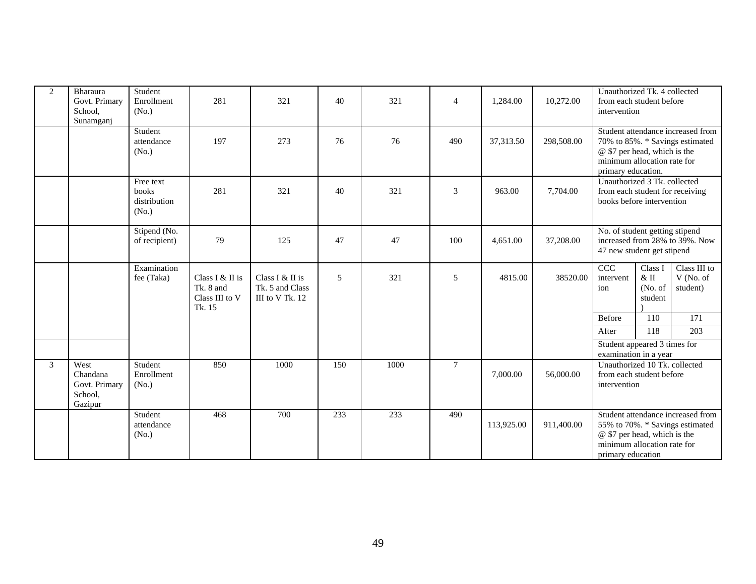| 2 | Bharaura<br>Govt. Primary<br>School,<br>Sunamganj       | Student<br>Enrollment<br>(No.)                     | 281                                                      | 321                                                   | 40  | 321  | $\overline{4}$ | 1,284.00   | 10,272.00  |                                                                                                                                                                                                                                       | Unauthorized Tk. 4 collected<br>from each student before<br>intervention                     |                                         |  |
|---|---------------------------------------------------------|----------------------------------------------------|----------------------------------------------------------|-------------------------------------------------------|-----|------|----------------|------------|------------|---------------------------------------------------------------------------------------------------------------------------------------------------------------------------------------------------------------------------------------|----------------------------------------------------------------------------------------------|-----------------------------------------|--|
|   |                                                         | Student<br>attendance<br>(No.)                     | 197                                                      | 273                                                   | 76  | 76   | 490            | 37,313.50  | 298,508.00 | Student attendance increased from<br>70% to 85%. * Savings estimated<br>@ \$7 per head, which is the<br>minimum allocation rate for<br>primary education.                                                                             |                                                                                              |                                         |  |
|   |                                                         | Free text<br><b>books</b><br>distribution<br>(No.) | 281                                                      | 321                                                   | 40  | 321  | 3              | 963.00     | 7,704.00   |                                                                                                                                                                                                                                       | Unauthorized 3 Tk. collected<br>from each student for receiving<br>books before intervention |                                         |  |
|   |                                                         | Stipend (No.<br>of recipient)                      | 79                                                       | 125                                                   | 47  | 47   | 100            | 4,651.00   | 37,208.00  | No. of student getting stipend<br>increased from 28% to 39%. Now<br>47 new student get stipend                                                                                                                                        |                                                                                              |                                         |  |
|   |                                                         | Examination<br>fee (Taka)                          | Class I & II is<br>Tk. 8 and<br>Class III to V<br>Tk. 15 | Class I & II is<br>Tk. 5 and Class<br>III to V Tk. 12 | 5   | 321  | 5              | 4815.00    | 38520.00   | CCC<br>intervent<br>ion                                                                                                                                                                                                               | Class I<br>$\&$ II<br>(No. of)<br>student                                                    | Class III to<br>$V$ (No. of<br>student) |  |
|   |                                                         |                                                    |                                                          |                                                       |     |      |                |            |            | Before                                                                                                                                                                                                                                | 110                                                                                          | $\overline{171}$                        |  |
|   |                                                         |                                                    |                                                          |                                                       |     |      |                |            |            | After                                                                                                                                                                                                                                 | 118                                                                                          | 203                                     |  |
|   |                                                         |                                                    |                                                          |                                                       |     |      |                |            |            | Student appeared 3 times for<br>examination in a year                                                                                                                                                                                 |                                                                                              |                                         |  |
| 3 | West<br>Chandana<br>Govt. Primary<br>School,<br>Gazipur | Student<br>Enrollment<br>(No.)                     | 850                                                      | 1000                                                  | 150 | 1000 | $\overline{7}$ | 7,000.00   | 56,000.00  | Unauthorized 10 Tk. collected<br>from each student before<br>intervention<br>Student attendance increased from<br>55% to 70%. * Savings estimated<br>@ \$7 per head, which is the<br>minimum allocation rate for<br>primary education |                                                                                              |                                         |  |
|   |                                                         | Student<br>attendance<br>(No.)                     | 468                                                      | 700                                                   | 233 | 233  | 490            | 113,925.00 | 911,400.00 |                                                                                                                                                                                                                                       |                                                                                              |                                         |  |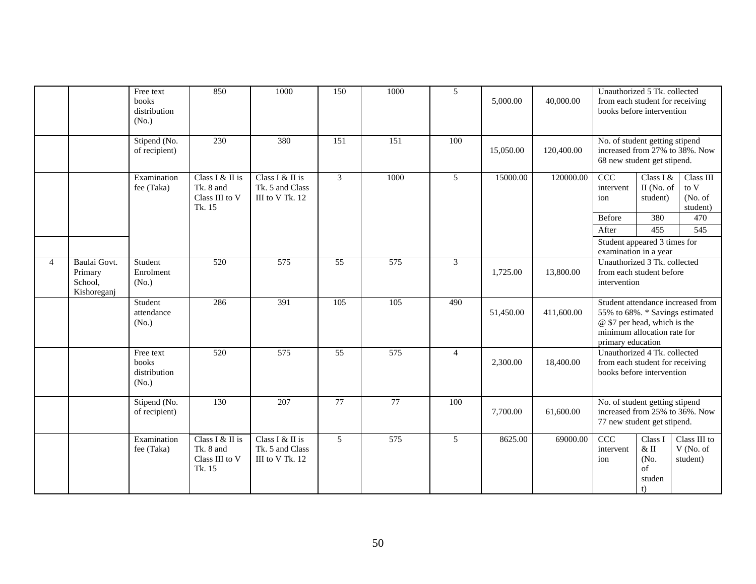|                |                                                   | Free text<br>books<br>distribution<br>(No.)             | 850                                                      | 1000                                                  | 150              | 1000 | $5\overline{)}$ | 5,000.00  | 40,000.00  | Unauthorized 5 Tk. collected<br>from each student for receiving<br>books before intervention    |                                                                                                 |                                                                      |
|----------------|---------------------------------------------------|---------------------------------------------------------|----------------------------------------------------------|-------------------------------------------------------|------------------|------|-----------------|-----------|------------|-------------------------------------------------------------------------------------------------|-------------------------------------------------------------------------------------------------|----------------------------------------------------------------------|
|                |                                                   | Stipend (No.<br>of recipient)                           | 230                                                      | 380                                                   | 151              | 151  | 100             | 15,050.00 | 120,400.00 |                                                                                                 | No. of student getting stipend<br>increased from 27% to 38%. Now<br>68 new student get stipend. |                                                                      |
|                |                                                   | Examination<br>fee (Taka)                               | Class I & II is<br>Tk. 8 and<br>Class III to V<br>Tk. 15 | Class I & II is<br>Tk. 5 and Class<br>III to V Tk. 12 | 3                | 1000 | 5               | 15000.00  | 120000.00  | CCC<br>intervent<br>ion<br>Before                                                               | Class I &<br>II (No. of<br>student)<br>380                                                      | Class III<br>to V<br>(No. of<br>student)<br>470                      |
|                |                                                   |                                                         |                                                          |                                                       |                  |      |                 |           |            | After<br>Student appeared 3 times for<br>examination in a year                                  | 455                                                                                             | 545                                                                  |
| $\overline{4}$ | Baulai Govt.<br>Primary<br>School,<br>Kishoreganj | Student<br>Enrolment<br>(No.)                           | 520                                                      | 575                                                   | 55               | 575  | 3               | 1,725.00  | 13,800.00  |                                                                                                 | Unauthorized 3 Tk. collected<br>from each student before<br>intervention                        |                                                                      |
|                |                                                   | Student<br>attendance<br>(No.)                          | 286                                                      | 391                                                   | $\overline{105}$ | 105  | 490             | 51,450.00 | 411,600.00 | primary education                                                                               | @ \$7 per head, which is the<br>minimum allocation rate for                                     | Student attendance increased from<br>55% to 68%. * Savings estimated |
|                |                                                   | Free text<br>books<br>distribution<br>(N <sub>0</sub> ) | 520                                                      | 575                                                   | 55               | 575  | $\overline{4}$  | 2,300.00  | 18,400.00  |                                                                                                 | Unauthorized 4 Tk. collected<br>from each student for receiving<br>books before intervention    |                                                                      |
|                |                                                   | Stipend (No.<br>of recipient)                           | 130                                                      | 207                                                   | 77               | 77   | 100             | 7,700.00  | 61,600.00  | No. of student getting stipend<br>increased from 25% to 36%. Now<br>77 new student get stipend. |                                                                                                 |                                                                      |
|                |                                                   | Examination<br>fee (Taka)                               | Class I & II is<br>Tk. 8 and<br>Class III to V<br>Tk. 15 | Class I & II is<br>Tk. 5 and Class<br>III to V Tk. 12 | 5                | 575  | 5               | 8625.00   | 69000.00   | CCC<br>intervent<br>ion                                                                         | Class I<br>$\&$ II<br>(No.<br>of<br>studen<br>t)                                                | Class III to<br>$V$ (No. of<br>student)                              |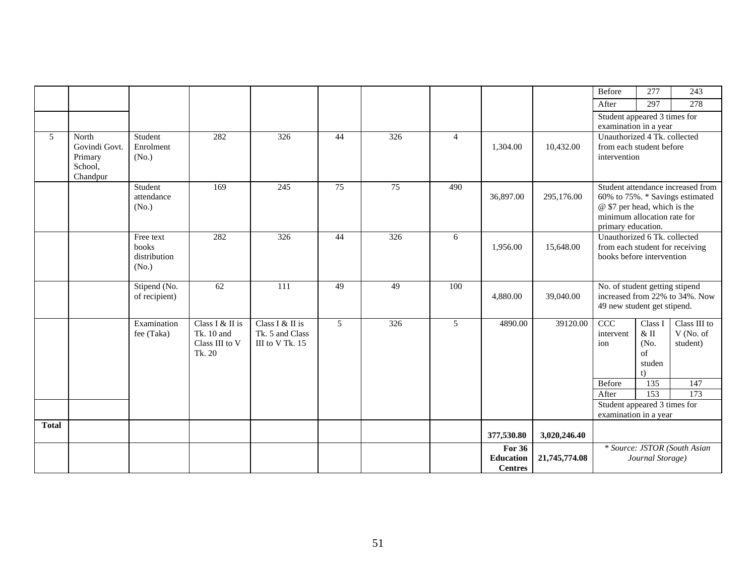|              |                        |                              |                          |                 |                 |                 |                |                  |               | Before                                                       | 277        | 243                               |
|--------------|------------------------|------------------------------|--------------------------|-----------------|-----------------|-----------------|----------------|------------------|---------------|--------------------------------------------------------------|------------|-----------------------------------|
|              |                        |                              |                          |                 |                 |                 |                |                  |               | After                                                        | 297        | $\overline{278}$                  |
|              |                        |                              |                          |                 |                 |                 |                |                  |               | Student appeared 3 times for                                 |            |                                   |
|              |                        |                              |                          |                 |                 |                 |                |                  |               | examination in a year                                        |            |                                   |
| 5            | North<br>Govindi Govt. | Student<br>Enrolment         | 282                      | 326             | 44              | 326             | $\overline{4}$ | 1,304.00         | 10,432.00     | Unauthorized 4 Tk. collected<br>from each student before     |            |                                   |
|              | Primary                | (No.)                        |                          |                 |                 |                 |                |                  |               | intervention                                                 |            |                                   |
|              | School,                |                              |                          |                 |                 |                 |                |                  |               |                                                              |            |                                   |
|              | Chandpur               |                              |                          |                 |                 |                 |                |                  |               |                                                              |            |                                   |
|              |                        | Student                      | 169                      | 245             | $\overline{75}$ | $\overline{75}$ | 490            |                  |               |                                                              |            | Student attendance increased from |
|              |                        | attendance<br>(No.)          |                          |                 |                 |                 |                | 36,897.00        | 295,176.00    | @ \$7 per head, which is the                                 |            | 60% to 75%. * Savings estimated   |
|              |                        |                              |                          |                 |                 |                 |                |                  |               | minimum allocation rate for                                  |            |                                   |
|              |                        |                              |                          |                 |                 |                 |                |                  |               | primary education.                                           |            |                                   |
|              |                        | Free text                    | 282                      | 326             | 44              | 326             | 6              |                  |               | Unauthorized 6 Tk. collected                                 |            |                                   |
|              |                        | <b>books</b><br>distribution |                          |                 |                 |                 |                | 1,956.00         | 15,648.00     | from each student for receiving<br>books before intervention |            |                                   |
|              |                        | (No.)                        |                          |                 |                 |                 |                |                  |               |                                                              |            |                                   |
|              |                        |                              |                          |                 |                 |                 |                |                  |               |                                                              |            |                                   |
|              |                        | Stipend (No.                 | 62                       | 111             | 49              | 49              | 100            |                  |               | No. of student getting stipend                               |            |                                   |
|              |                        | of recipient)                |                          |                 |                 |                 |                | 4,880.00         | 39,040.00     | increased from 22% to 34%. Now                               |            |                                   |
|              |                        |                              |                          |                 |                 |                 |                |                  |               | 49 new student get stipend.                                  |            |                                   |
|              |                        | Examination                  | Class I & II is          | Class I & II is | 5               | 326             | 5              | 4890.00          | 39120.00      | CCC                                                          | Class I    | Class III to                      |
|              |                        | fee (Taka)                   | Tk. 10 and               | Tk. 5 and Class |                 |                 |                |                  |               | intervent                                                    | $\&$ II    | V (No. of                         |
|              |                        |                              | Class III to V<br>Tk. 20 | III to V Tk. 15 |                 |                 |                |                  |               | ion                                                          | (No.<br>of | student)                          |
|              |                        |                              |                          |                 |                 |                 |                |                  |               |                                                              | studen     |                                   |
|              |                        |                              |                          |                 |                 |                 |                |                  |               |                                                              | $th$       |                                   |
|              |                        |                              |                          |                 |                 |                 |                |                  |               | Before                                                       | 135        | $\overline{147}$                  |
|              |                        |                              |                          |                 |                 |                 |                |                  |               | After                                                        | 153        | 173                               |
|              |                        |                              |                          |                 |                 |                 |                |                  |               | Student appeared 3 times for                                 |            |                                   |
| <b>Total</b> |                        |                              |                          |                 |                 |                 |                |                  |               | examination in a year                                        |            |                                   |
|              |                        |                              |                          |                 |                 |                 |                | 377,530.80       | 3,020,246.40  |                                                              |            |                                   |
|              |                        |                              |                          |                 |                 |                 |                | <b>For 36</b>    |               | * Source: JSTOR (South Asian                                 |            |                                   |
|              |                        |                              |                          |                 |                 |                 |                | <b>Education</b> | 21,745,774.08 | Journal Storage)                                             |            |                                   |
|              |                        |                              |                          |                 |                 |                 |                | <b>Centres</b>   |               |                                                              |            |                                   |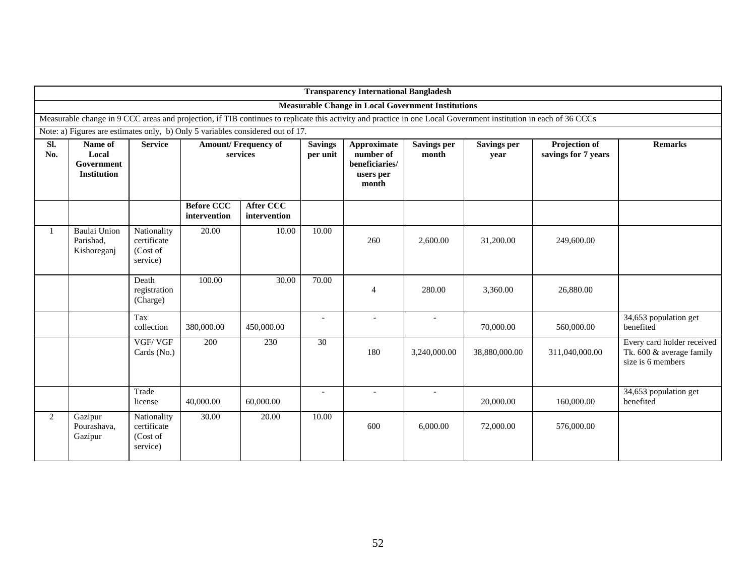| <b>Transparency International Bangladesh</b> |                                                      |                                                    |                                   |                                                                                |                            |                                                                  |                             |                                                                                                                                                                  |                                      |                                                                             |  |
|----------------------------------------------|------------------------------------------------------|----------------------------------------------------|-----------------------------------|--------------------------------------------------------------------------------|----------------------------|------------------------------------------------------------------|-----------------------------|------------------------------------------------------------------------------------------------------------------------------------------------------------------|--------------------------------------|-----------------------------------------------------------------------------|--|
|                                              |                                                      |                                                    |                                   |                                                                                |                            | <b>Measurable Change in Local Government Institutions</b>        |                             |                                                                                                                                                                  |                                      |                                                                             |  |
|                                              |                                                      |                                                    |                                   |                                                                                |                            |                                                                  |                             | Measurable change in 9 CCC areas and projection, if TIB continues to replicate this activity and practice in one Local Government institution in each of 36 CCCs |                                      |                                                                             |  |
|                                              |                                                      |                                                    |                                   | Note: a) Figures are estimates only, b) Only 5 variables considered out of 17. |                            |                                                                  |                             |                                                                                                                                                                  |                                      |                                                                             |  |
| Sl.<br>No.                                   | Name of<br>Local<br>Government<br><b>Institution</b> | <b>Service</b>                                     |                                   | <b>Amount/Frequency of</b><br>services                                         | <b>Savings</b><br>per unit | Approximate<br>number of<br>beneficiaries/<br>users per<br>month | <b>Savings per</b><br>month | <b>Savings per</b><br>year                                                                                                                                       | Projection of<br>savings for 7 years | <b>Remarks</b>                                                              |  |
|                                              |                                                      |                                                    | <b>Before CCC</b><br>intervention | <b>After CCC</b><br>intervention                                               |                            |                                                                  |                             |                                                                                                                                                                  |                                      |                                                                             |  |
|                                              | <b>Baulai</b> Union<br>Parishad,<br>Kishoreganj      | Nationality<br>certificate<br>(Cost of<br>service) | 20.00                             | 10.00                                                                          | 10.00                      | 260                                                              | 2,600.00                    | 31,200.00                                                                                                                                                        | 249,600.00                           |                                                                             |  |
|                                              |                                                      | Death<br>registration<br>(Charge)                  | 100.00                            | 30.00                                                                          | 70.00                      | $\overline{4}$                                                   | 280.00                      | 3,360.00                                                                                                                                                         | 26,880.00                            |                                                                             |  |
|                                              |                                                      | Tax<br>collection                                  | 380,000.00                        | 450,000.00                                                                     | $\overline{\phantom{a}}$   | $\sim$                                                           | $\overline{\phantom{a}}$    | 70,000.00                                                                                                                                                        | 560,000.00                           | 34,653 population get<br>benefited                                          |  |
|                                              |                                                      | VGF/VGF<br>Cards (No.)                             | 200                               | 230                                                                            | $\overline{30}$            | 180                                                              | 3,240,000.00                | 38,880,000.00                                                                                                                                                    | 311,040,000.00                       | Every card holder received<br>Tk. 600 & average family<br>size is 6 members |  |
|                                              |                                                      | Trade<br>license                                   | 40,000.00                         | 60,000.00                                                                      | $\overline{a}$             | $\sim$                                                           |                             | 20,000.00                                                                                                                                                        | 160,000.00                           | 34,653 population get<br>benefited                                          |  |
| 2                                            | Gazipur<br>Pourashava,<br>Gazipur                    | Nationality<br>certificate<br>(Cost of<br>service) | 30.00                             | 20.00                                                                          | 10.00                      | 600                                                              | 6,000.00                    | 72,000.00                                                                                                                                                        | 576,000.00                           |                                                                             |  |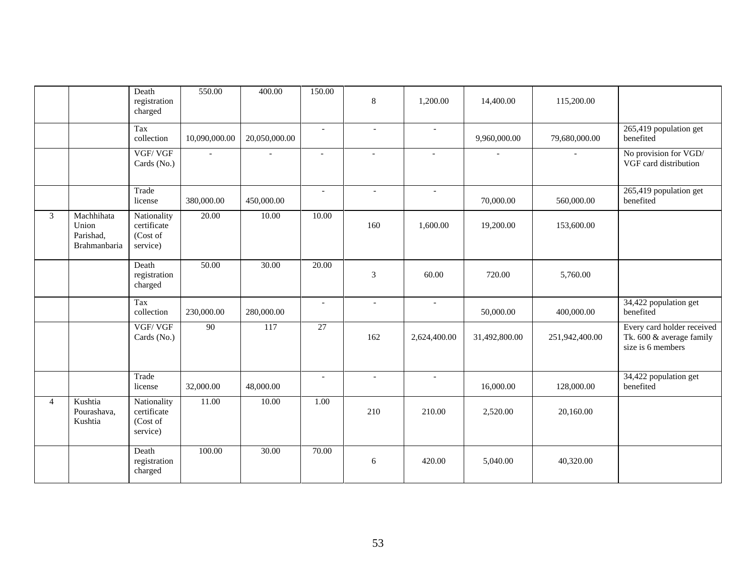|                |                                                  | Death<br>registration<br>charged                   | 550.00          | 400.00        | 150.00          | 8      | 1,200.00                 | 14,400.00     | 115,200.00     |                                                                             |
|----------------|--------------------------------------------------|----------------------------------------------------|-----------------|---------------|-----------------|--------|--------------------------|---------------|----------------|-----------------------------------------------------------------------------|
|                |                                                  | Tax<br>collection                                  | 10,090,000.00   | 20,050,000.00 | $\overline{a}$  | $\sim$ | $\sim$                   | 9,960,000.00  | 79,680,000.00  | 265,419 population get<br>benefited                                         |
|                |                                                  | VGF/VGF<br>Cards (No.)                             |                 |               | $\sim$          |        | $\overline{a}$           |               |                | No provision for VGD/<br>VGF card distribution                              |
|                |                                                  | Trade<br>license                                   | 380,000.00      | 450,000.00    | $\overline{a}$  |        | $\overline{a}$           | 70,000.00     | 560,000.00     | 265,419 population get<br>benefited                                         |
| $\mathfrak{Z}$ | Machhihata<br>Union<br>Parishad,<br>Brahmanbaria | Nationality<br>certificate<br>(Cost of<br>service) | 20.00           | 10.00         | 10.00           | 160    | 1,600.00                 | 19,200.00     | 153,600.00     |                                                                             |
|                |                                                  | Death<br>registration<br>charged                   | 50.00           | 30.00         | 20.00           | 3      | 60.00                    | 720.00        | 5,760.00       |                                                                             |
|                |                                                  | Tax<br>collection                                  | 230,000.00      | 280,000.00    | $\overline{a}$  |        | $\sim$                   | 50,000.00     | 400,000.00     | 34,422 population get<br>benefited                                          |
|                |                                                  | VGF/VGF<br>Cards (No.)                             | $\overline{90}$ | 117           | $\overline{27}$ | 162    | 2,624,400.00             | 31,492,800.00 | 251,942,400.00 | Every card holder received<br>Tk. 600 & average family<br>size is 6 members |
|                |                                                  | Trade<br>license                                   | 32,000.00       | 48,000.00     | $\overline{a}$  | $\sim$ | $\overline{\phantom{a}}$ | 16,000.00     | 128,000.00     | 34,422 population get<br>benefited                                          |
| $\overline{4}$ | Kushtia<br>Pourashava,<br>Kushtia                | Nationality<br>certificate<br>(Cost of<br>service) | 11.00           | 10.00         | 1.00            | 210    | 210.00                   | 2,520.00      | 20,160.00      |                                                                             |
|                |                                                  | Death<br>registration<br>charged                   | 100.00          | 30.00         | 70.00           | 6      | 420.00                   | 5,040.00      | 40,320.00      |                                                                             |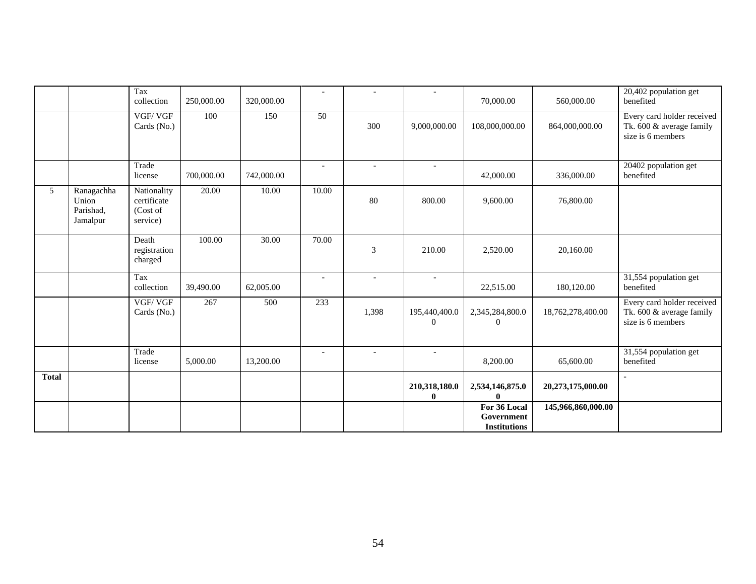|              |                                              | Tax<br>collection                                  | 250,000.00 | 320,000.00 | $\overline{\phantom{a}}$ | $\overline{\phantom{a}}$ | $\overline{\phantom{a}}$  | 70,000.00                                         | 560,000.00         | 20,402 population get<br>benefited                                          |
|--------------|----------------------------------------------|----------------------------------------------------|------------|------------|--------------------------|--------------------------|---------------------------|---------------------------------------------------|--------------------|-----------------------------------------------------------------------------|
|              |                                              | VGF/VGF<br>Cards (No.)                             | 100        | 150        | $\overline{50}$          | 300                      | 9,000,000.00              | 108,000,000.00                                    | 864,000,000.00     | Every card holder received<br>Tk. 600 & average family<br>size is 6 members |
|              |                                              | Trade<br>license                                   | 700,000.00 | 742,000.00 | $\overline{\phantom{a}}$ | $\sim$                   | $\sim$                    | 42,000.00                                         | 336,000.00         | 20402 population get<br>benefited                                           |
| 5            | Ranagachha<br>Union<br>Parishad,<br>Jamalpur | Nationality<br>certificate<br>(Cost of<br>service) | 20.00      | 10.00      | 10.00                    | 80                       | 800.00                    | 9,600.00                                          | 76,800.00          |                                                                             |
|              |                                              | Death<br>registration<br>charged                   | 100.00     | 30.00      | 70.00                    | 3                        | 210.00                    | 2,520.00                                          | 20,160.00          |                                                                             |
|              |                                              | Tax<br>collection                                  | 39,490.00  | 62,005.00  | $\overline{\phantom{a}}$ | $\overline{\phantom{a}}$ | $\sim$                    | 22,515.00                                         | 180,120.00         | 31,554 population get<br>benefited                                          |
|              |                                              | VGF/VGF<br>Cards (No.)                             | 267        | 500        | 233                      | 1,398                    | 195,440,400.0<br>$\Omega$ | 2,345,284,800.0<br>$\Omega$                       | 18,762,278,400.00  | Every card holder received<br>Tk. 600 & average family<br>size is 6 members |
|              |                                              | Trade<br>license                                   | 5,000.00   | 13,200.00  | $\overline{\phantom{a}}$ | $\sim$                   | $\overline{\phantom{a}}$  | 8,200.00                                          | 65,600.00          | 31,554 population get<br>benefited                                          |
| <b>Total</b> |                                              |                                                    |            |            |                          |                          | 210,318,180.0<br>$\bf{0}$ | 2,534,146,875.0                                   | 20,273,175,000.00  |                                                                             |
|              |                                              |                                                    |            |            |                          |                          |                           | For 36 Local<br>Government<br><b>Institutions</b> | 145,966,860,000.00 |                                                                             |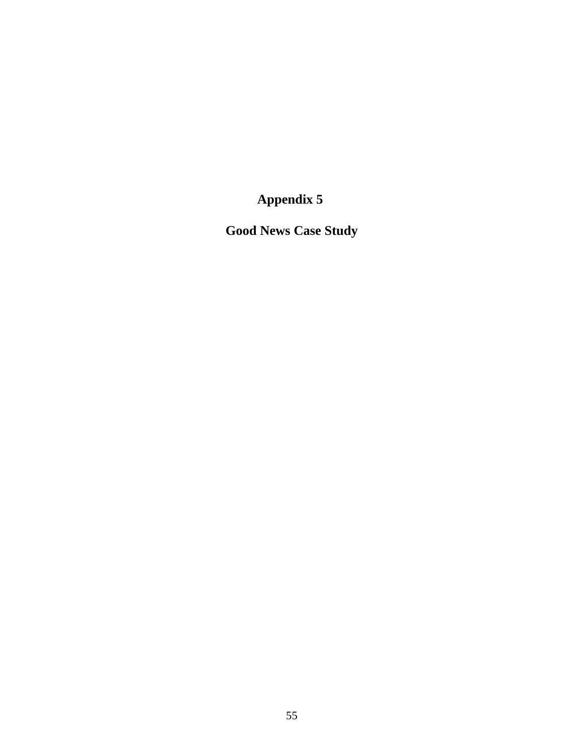**Appendix 5** 

**Good News Case Study**